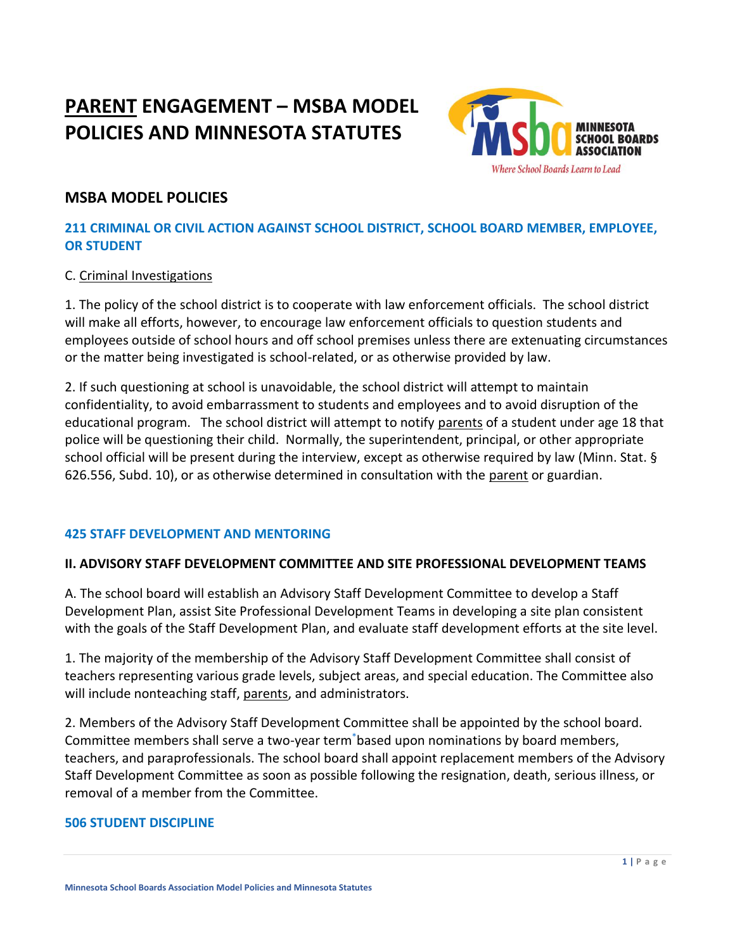# **PARENT ENGAGEMENT – MSBA MODEL POLICIES AND MINNESOTA STATUTES**



# **MSBA MODEL POLICIES**

### **211 CRIMINAL OR CIVIL ACTION AGAINST SCHOOL DISTRICT, SCHOOL BOARD MEMBER, EMPLOYEE, OR STUDENT**

### C. Criminal Investigations

1. The policy of the school district is to cooperate with law enforcement officials. The school district will make all efforts, however, to encourage law enforcement officials to question students and employees outside of school hours and off school premises unless there are extenuating circumstances or the matter being investigated is school-related, or as otherwise provided by law.

2. If such questioning at school is unavoidable, the school district will attempt to maintain confidentiality, to avoid embarrassment to students and employees and to avoid disruption of the educational program. The school district will attempt to notify parents of a student under age 18 that police will be questioning their child. Normally, the superintendent, principal, or other appropriate school official will be present during the interview, except as otherwise required by law (Minn. Stat. § 626.556, Subd. 10), or as otherwise determined in consultation with the parent or guardian.

#### **425 STAFF DEVELOPMENT AND MENTORING**

### **II. ADVISORY STAFF DEVELOPMENT COMMITTEE AND SITE PROFESSIONAL DEVELOPMENT TEAMS**

A. The school board will establish an Advisory Staff Development Committee to develop a Staff Development Plan, assist Site Professional Development Teams in developing a site plan consistent with the goals of the Staff Development Plan, and evaluate staff development efforts at the site level.

1. The majority of the membership of the Advisory Staff Development Committee shall consist of teachers representing various grade levels, subject areas, and special education. The Committee also will include nonteaching staff, parents, and administrators.

2. Members of the Advisory Staff Development Committee shall be appointed by the school board. Committee members shall serve a two-year term[\\*](https://search.mnmsba.org/doc/policy/f0d04f1f-90c4-4193-87fd-e7b3c4cd10f3?_ga=2.136955952.1845612992.1640025420-613745423.1639764611#_ftn1)based upon nominations by board members, teachers, and paraprofessionals. The school board shall appoint replacement members of the Advisory Staff Development Committee as soon as possible following the resignation, death, serious illness, or removal of a member from the Committee.

#### **506 STUDENT DISCIPLINE**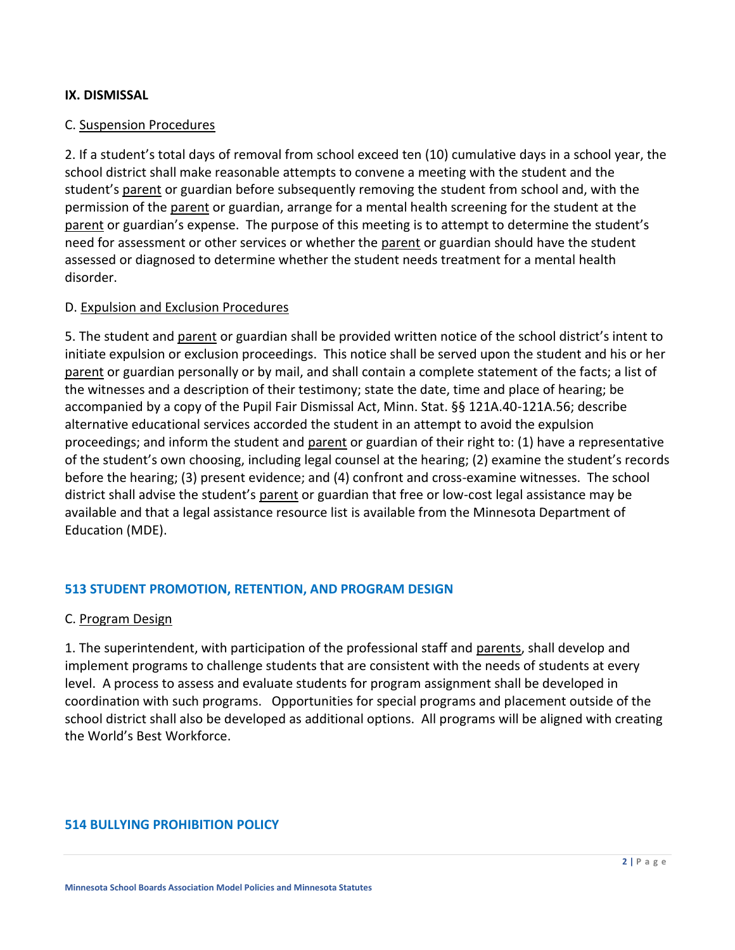#### **IX. DISMISSAL**

#### C. Suspension Procedures

2. If a student's total days of removal from school exceed ten (10) cumulative days in a school year, the school district shall make reasonable attempts to convene a meeting with the student and the student's parent or guardian before subsequently removing the student from school and, with the permission of the parent or guardian, arrange for a mental health screening for the student at the parent or guardian's expense. The purpose of this meeting is to attempt to determine the student's need for assessment or other services or whether the parent or guardian should have the student assessed or diagnosed to determine whether the student needs treatment for a mental health disorder.

#### D. Expulsion and Exclusion Procedures

5. The student and parent or guardian shall be provided written notice of the school district's intent to initiate expulsion or exclusion proceedings. This notice shall be served upon the student and his or her parent or guardian personally or by mail, and shall contain a complete statement of the facts; a list of the witnesses and a description of their testimony; state the date, time and place of hearing; be accompanied by a copy of the Pupil Fair Dismissal Act, Minn. Stat. §§ 121A.40-121A.56; describe alternative educational services accorded the student in an attempt to avoid the expulsion proceedings; and inform the student and parent or guardian of their right to: (1) have a representative of the student's own choosing, including legal counsel at the hearing; (2) examine the student's records before the hearing; (3) present evidence; and (4) confront and cross-examine witnesses. The school district shall advise the student's parent or guardian that free or low-cost legal assistance may be available and that a legal assistance resource list is available from the Minnesota Department of Education (MDE).

#### **513 STUDENT PROMOTION, RETENTION, AND PROGRAM DESIGN**

#### C. Program Design

1. The superintendent, with participation of the professional staff and parents, shall develop and implement programs to challenge students that are consistent with the needs of students at every level. A process to assess and evaluate students for program assignment shall be developed in coordination with such programs. Opportunities for special programs and placement outside of the school district shall also be developed as additional options. All programs will be aligned with creating the World's Best Workforce.

#### **514 BULLYING PROHIBITION POLICY**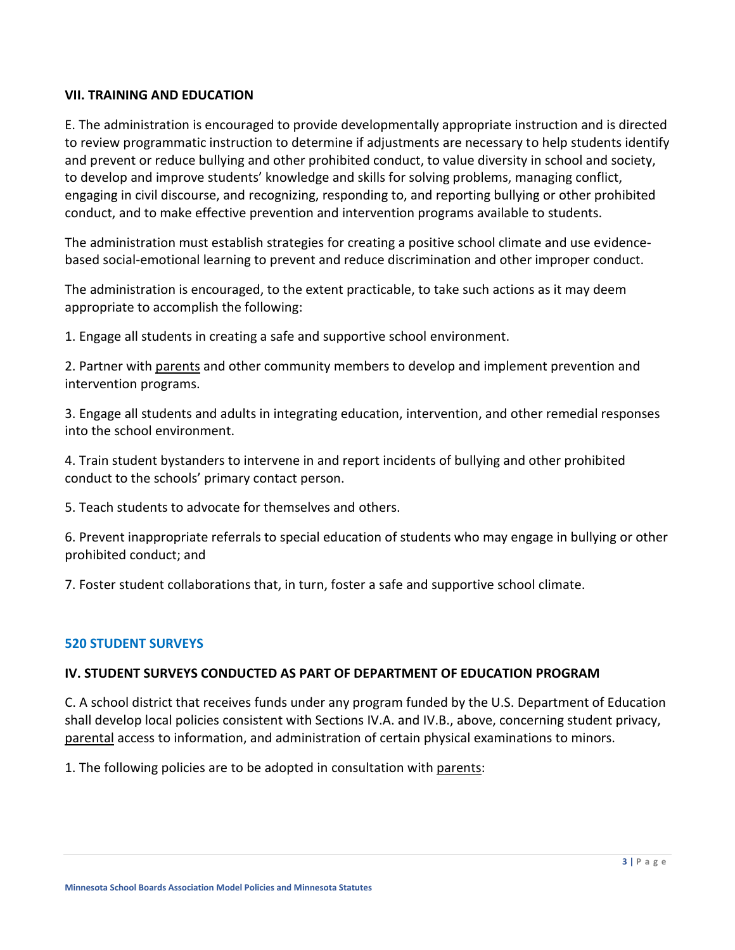#### **VII. TRAINING AND EDUCATION**

E. The administration is encouraged to provide developmentally appropriate instruction and is directed to review programmatic instruction to determine if adjustments are necessary to help students identify and prevent or reduce bullying and other prohibited conduct, to value diversity in school and society, to develop and improve students' knowledge and skills for solving problems, managing conflict, engaging in civil discourse, and recognizing, responding to, and reporting bullying or other prohibited conduct, and to make effective prevention and intervention programs available to students.

The administration must establish strategies for creating a positive school climate and use evidencebased social-emotional learning to prevent and reduce discrimination and other improper conduct.

The administration is encouraged, to the extent practicable, to take such actions as it may deem appropriate to accomplish the following:

1. Engage all students in creating a safe and supportive school environment.

2. Partner with parents and other community members to develop and implement prevention and intervention programs.

3. Engage all students and adults in integrating education, intervention, and other remedial responses into the school environment.

4. Train student bystanders to intervene in and report incidents of bullying and other prohibited conduct to the schools' primary contact person.

5. Teach students to advocate for themselves and others.

6. Prevent inappropriate referrals to special education of students who may engage in bullying or other prohibited conduct; and

7. Foster student collaborations that, in turn, foster a safe and supportive school climate.

#### **520 STUDENT SURVEYS**

#### **IV. STUDENT SURVEYS CONDUCTED AS PART OF DEPARTMENT OF EDUCATION PROGRAM**

C. A school district that receives funds under any program funded by the U.S. Department of Education shall develop local policies consistent with Sections IV.A. and IV.B., above, concerning student privacy, parental access to information, and administration of certain physical examinations to minors.

1. The following policies are to be adopted in consultation with parents: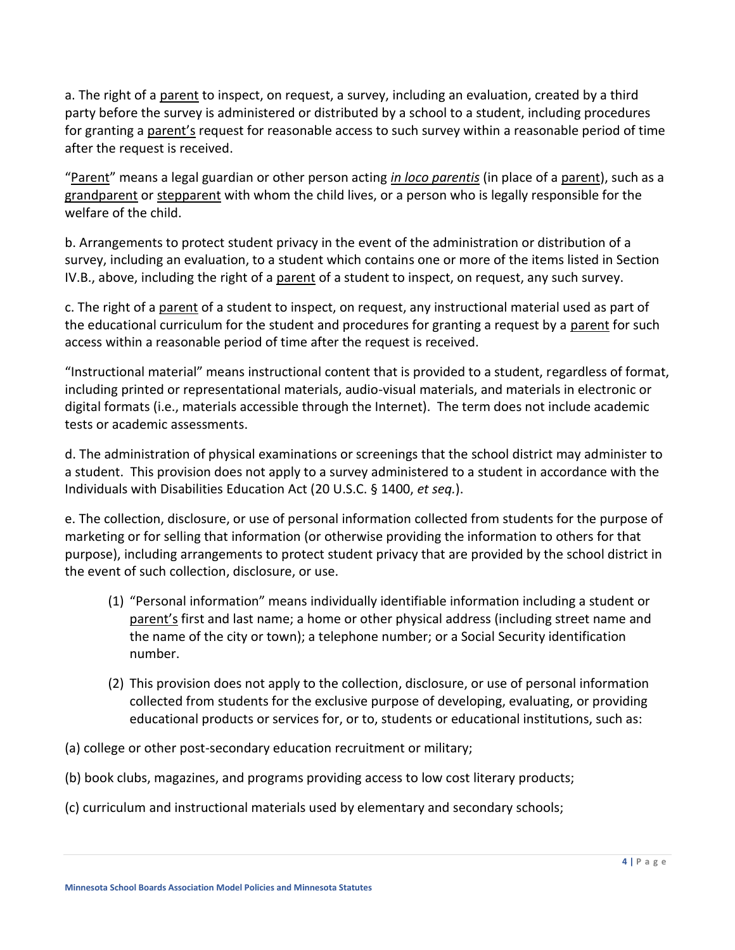a. The right of a parent to inspect, on request, a survey, including an evaluation, created by a third party before the survey is administered or distributed by a school to a student, including procedures for granting a parent's request for reasonable access to such survey within a reasonable period of time after the request is received.

"Parent" means a legal guardian or other person acting *in loco parentis* (in place of a parent), such as a grandparent or stepparent with whom the child lives, or a person who is legally responsible for the welfare of the child.

b. Arrangements to protect student privacy in the event of the administration or distribution of a survey, including an evaluation, to a student which contains one or more of the items listed in Section IV.B., above, including the right of a parent of a student to inspect, on request, any such survey.

c. The right of a parent of a student to inspect, on request, any instructional material used as part of the educational curriculum for the student and procedures for granting a request by a parent for such access within a reasonable period of time after the request is received.

"Instructional material" means instructional content that is provided to a student, regardless of format, including printed or representational materials, audio-visual materials, and materials in electronic or digital formats (i.e., materials accessible through the Internet). The term does not include academic tests or academic assessments.

d. The administration of physical examinations or screenings that the school district may administer to a student. This provision does not apply to a survey administered to a student in accordance with the Individuals with Disabilities Education Act (20 U.S.C. § 1400, *et seq.*).

e. The collection, disclosure, or use of personal information collected from students for the purpose of marketing or for selling that information (or otherwise providing the information to others for that purpose), including arrangements to protect student privacy that are provided by the school district in the event of such collection, disclosure, or use.

- (1) "Personal information" means individually identifiable information including a student or parent's first and last name; a home or other physical address (including street name and the name of the city or town); a telephone number; or a Social Security identification number.
- (2) This provision does not apply to the collection, disclosure, or use of personal information collected from students for the exclusive purpose of developing, evaluating, or providing educational products or services for, or to, students or educational institutions, such as:
- (a) college or other post-secondary education recruitment or military;
- (b) book clubs, magazines, and programs providing access to low cost literary products;
- (c) curriculum and instructional materials used by elementary and secondary schools;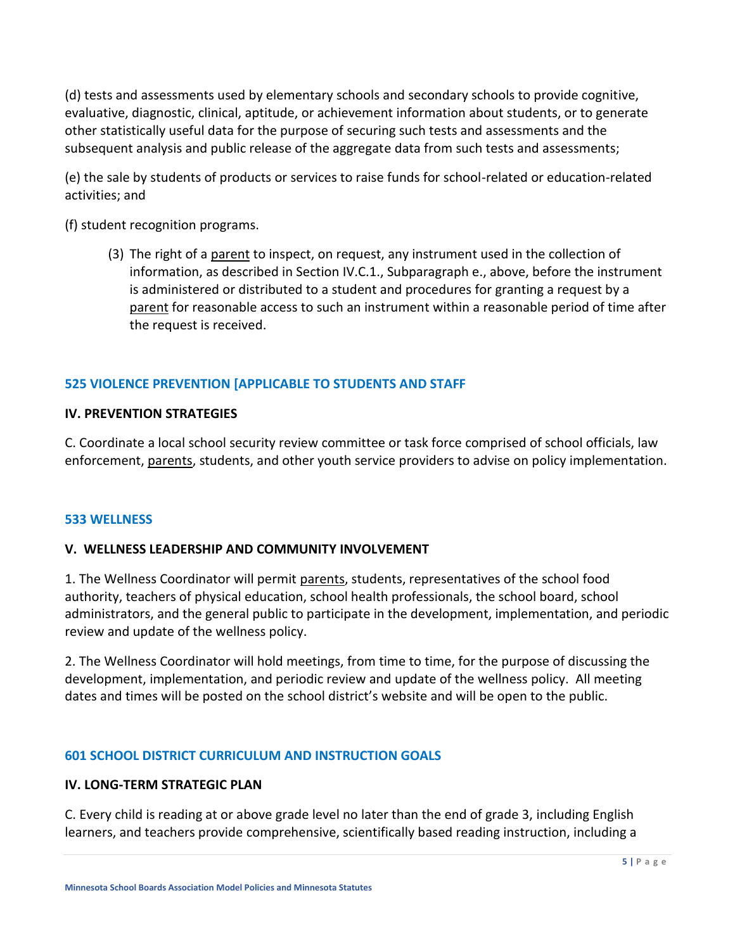(d) tests and assessments used by elementary schools and secondary schools to provide cognitive, evaluative, diagnostic, clinical, aptitude, or achievement information about students, or to generate other statistically useful data for the purpose of securing such tests and assessments and the subsequent analysis and public release of the aggregate data from such tests and assessments;

(e) the sale by students of products or services to raise funds for school-related or education-related activities; and

(f) student recognition programs.

(3) The right of a parent to inspect, on request, any instrument used in the collection of information, as described in Section IV.C.1., Subparagraph e., above, before the instrument is administered or distributed to a student and procedures for granting a request by a parent for reasonable access to such an instrument within a reasonable period of time after the request is received.

### **525 VIOLENCE PREVENTION [APPLICABLE TO STUDENTS AND STAFF**

#### **IV. PREVENTION STRATEGIES**

C. Coordinate a local school security review committee or task force comprised of school officials, law enforcement, parents, students, and other youth service providers to advise on policy implementation.

#### **533 WELLNESS**

#### **V. WELLNESS LEADERSHIP AND COMMUNITY INVOLVEMENT**

1. The Wellness Coordinator will permit parents, students, representatives of the school food authority, teachers of physical education, school health professionals, the school board, school administrators, and the general public to participate in the development, implementation, and periodic review and update of the wellness policy.

2. The Wellness Coordinator will hold meetings, from time to time, for the purpose of discussing the development, implementation, and periodic review and update of the wellness policy. All meeting dates and times will be posted on the school district's website and will be open to the public.

#### **601 SCHOOL DISTRICT CURRICULUM AND INSTRUCTION GOALS**

#### **IV. LONG-TERM STRATEGIC PLAN**

C. Every child is reading at or above grade level no later than the end of grade 3, including English learners, and teachers provide comprehensive, scientifically based reading instruction, including a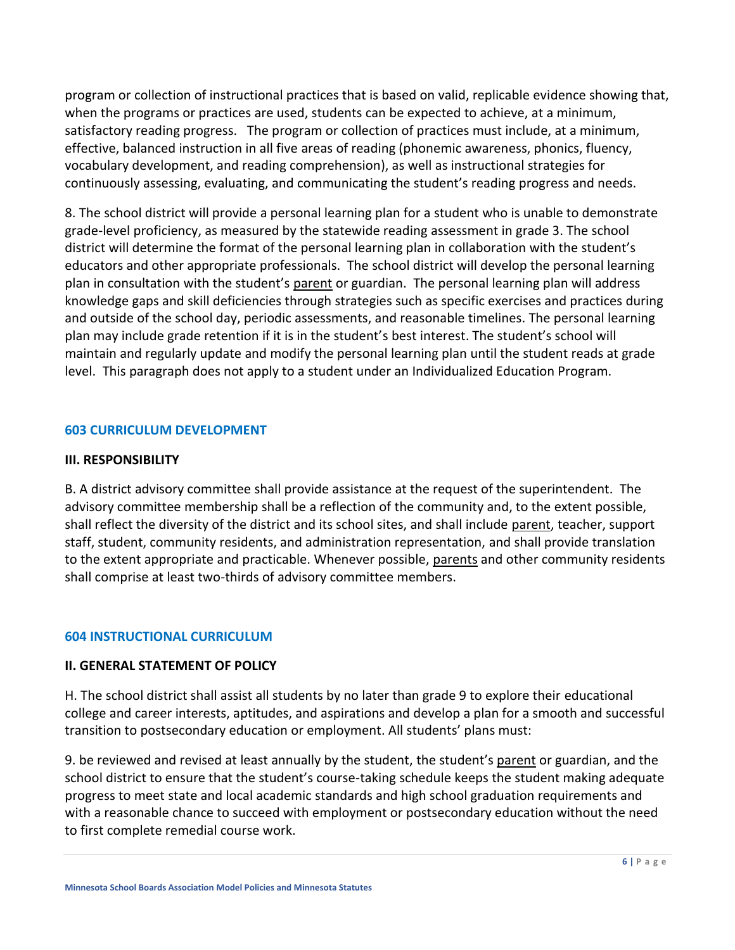program or collection of instructional practices that is based on valid, replicable evidence showing that, when the programs or practices are used, students can be expected to achieve, at a minimum, satisfactory reading progress. The program or collection of practices must include, at a minimum, effective, balanced instruction in all five areas of reading (phonemic awareness, phonics, fluency, vocabulary development, and reading comprehension), as well as instructional strategies for continuously assessing, evaluating, and communicating the student's reading progress and needs.

8. The school district will provide a personal learning plan for a student who is unable to demonstrate grade-level proficiency, as measured by the statewide reading assessment in grade 3. The school district will determine the format of the personal learning plan in collaboration with the student's educators and other appropriate professionals. The school district will develop the personal learning plan in consultation with the student's parent or guardian. The personal learning plan will address knowledge gaps and skill deficiencies through strategies such as specific exercises and practices during and outside of the school day, periodic assessments, and reasonable timelines. The personal learning plan may include grade retention if it is in the student's best interest. The student's school will maintain and regularly update and modify the personal learning plan until the student reads at grade level. This paragraph does not apply to a student under an Individualized Education Program.

#### **603 CURRICULUM DEVELOPMENT**

#### **III. RESPONSIBILITY**

B. A district advisory committee shall provide assistance at the request of the superintendent. The advisory committee membership shall be a reflection of the community and, to the extent possible, shall reflect the diversity of the district and its school sites, and shall include parent, teacher, support staff, student, community residents, and administration representation, and shall provide translation to the extent appropriate and practicable. Whenever possible, parents and other community residents shall comprise at least two-thirds of advisory committee members.

#### **604 INSTRUCTIONAL CURRICULUM**

#### **II. GENERAL STATEMENT OF POLICY**

H. The school district shall assist all students by no later than grade 9 to explore their educational college and career interests, aptitudes, and aspirations and develop a plan for a smooth and successful transition to postsecondary education or employment. All students' plans must:

9. be reviewed and revised at least annually by the student, the student's parent or guardian, and the school district to ensure that the student's course-taking schedule keeps the student making adequate progress to meet state and local academic standards and high school graduation requirements and with a reasonable chance to succeed with employment or postsecondary education without the need to first complete remedial course work.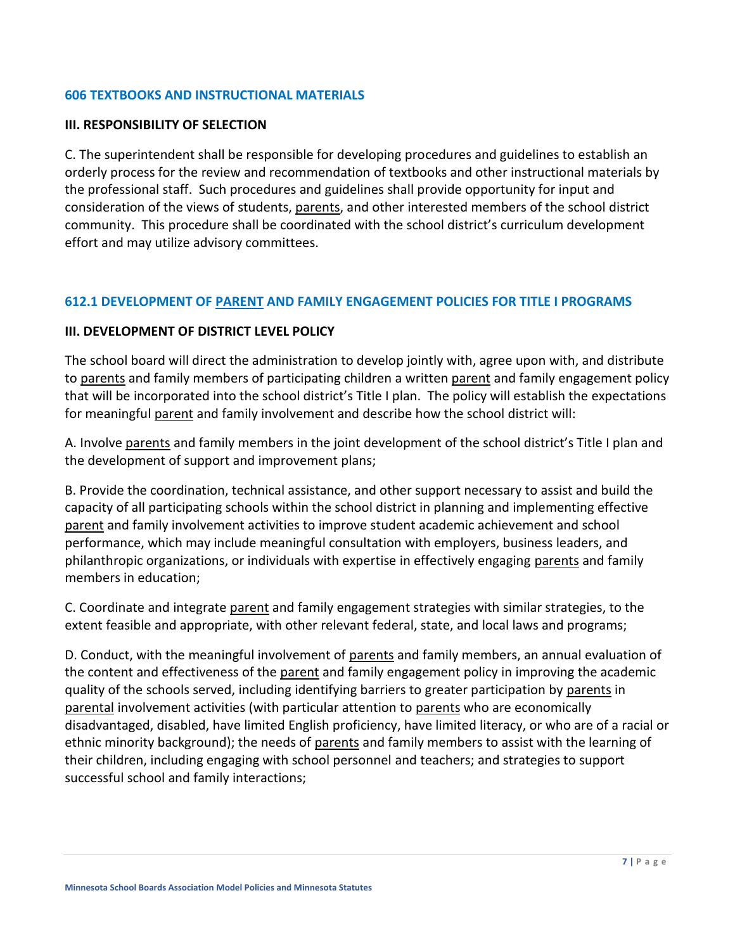#### **606 TEXTBOOKS AND INSTRUCTIONAL MATERIALS**

#### **III. RESPONSIBILITY OF SELECTION**

C. The superintendent shall be responsible for developing procedures and guidelines to establish an orderly process for the review and recommendation of textbooks and other instructional materials by the professional staff. Such procedures and guidelines shall provide opportunity for input and consideration of the views of students, parents, and other interested members of the school district community. This procedure shall be coordinated with the school district's curriculum development effort and may utilize advisory committees.

#### **612.1 DEVELOPMENT OF PARENT AND FAMILY ENGAGEMENT POLICIES FOR TITLE I PROGRAMS**

#### **III. DEVELOPMENT OF DISTRICT LEVEL POLICY**

The school board will direct the administration to develop jointly with, agree upon with, and distribute to parents and family members of participating children a written parent and family engagement policy that will be incorporated into the school district's Title I plan. The policy will establish the expectations for meaningful parent and family involvement and describe how the school district will:

A. Involve parents and family members in the joint development of the school district's Title I plan and the development of support and improvement plans;

B. Provide the coordination, technical assistance, and other support necessary to assist and build the capacity of all participating schools within the school district in planning and implementing effective parent and family involvement activities to improve student academic achievement and school performance, which may include meaningful consultation with employers, business leaders, and philanthropic organizations, or individuals with expertise in effectively engaging parents and family members in education;

C. Coordinate and integrate parent and family engagement strategies with similar strategies, to the extent feasible and appropriate, with other relevant federal, state, and local laws and programs;

D. Conduct, with the meaningful involvement of parents and family members, an annual evaluation of the content and effectiveness of the parent and family engagement policy in improving the academic quality of the schools served, including identifying barriers to greater participation by parents in parental involvement activities (with particular attention to parents who are economically disadvantaged, disabled, have limited English proficiency, have limited literacy, or who are of a racial or ethnic minority background); the needs of parents and family members to assist with the learning of their children, including engaging with school personnel and teachers; and strategies to support successful school and family interactions;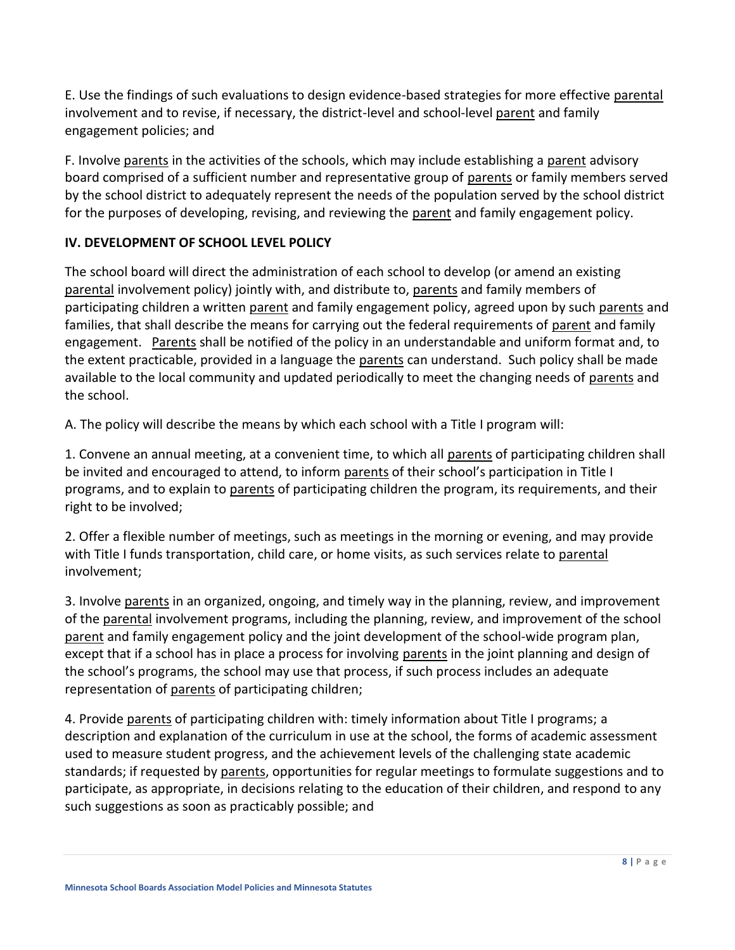E. Use the findings of such evaluations to design evidence-based strategies for more effective parental involvement and to revise, if necessary, the district-level and school-level parent and family engagement policies; and

F. Involve parents in the activities of the schools, which may include establishing a parent advisory board comprised of a sufficient number and representative group of parents or family members served by the school district to adequately represent the needs of the population served by the school district for the purposes of developing, revising, and reviewing the parent and family engagement policy.

### **IV. DEVELOPMENT OF SCHOOL LEVEL POLICY**

The school board will direct the administration of each school to develop (or amend an existing parental involvement policy) jointly with, and distribute to, parents and family members of participating children a written parent and family engagement policy, agreed upon by such parents and families, that shall describe the means for carrying out the federal requirements of parent and family engagement. Parents shall be notified of the policy in an understandable and uniform format and, to the extent practicable, provided in a language the parents can understand. Such policy shall be made available to the local community and updated periodically to meet the changing needs of parents and the school.

A. The policy will describe the means by which each school with a Title I program will:

1. Convene an annual meeting, at a convenient time, to which all parents of participating children shall be invited and encouraged to attend, to inform parents of their school's participation in Title I programs, and to explain to parents of participating children the program, its requirements, and their right to be involved;

2. Offer a flexible number of meetings, such as meetings in the morning or evening, and may provide with Title I funds transportation, child care, or home visits, as such services relate to parental involvement;

3. Involve parents in an organized, ongoing, and timely way in the planning, review, and improvement of the parental involvement programs, including the planning, review, and improvement of the school parent and family engagement policy and the joint development of the school-wide program plan, except that if a school has in place a process for involving parents in the joint planning and design of the school's programs, the school may use that process, if such process includes an adequate representation of parents of participating children;

4. Provide parents of participating children with: timely information about Title I programs; a description and explanation of the curriculum in use at the school, the forms of academic assessment used to measure student progress, and the achievement levels of the challenging state academic standards; if requested by parents, opportunities for regular meetings to formulate suggestions and to participate, as appropriate, in decisions relating to the education of their children, and respond to any such suggestions as soon as practicably possible; and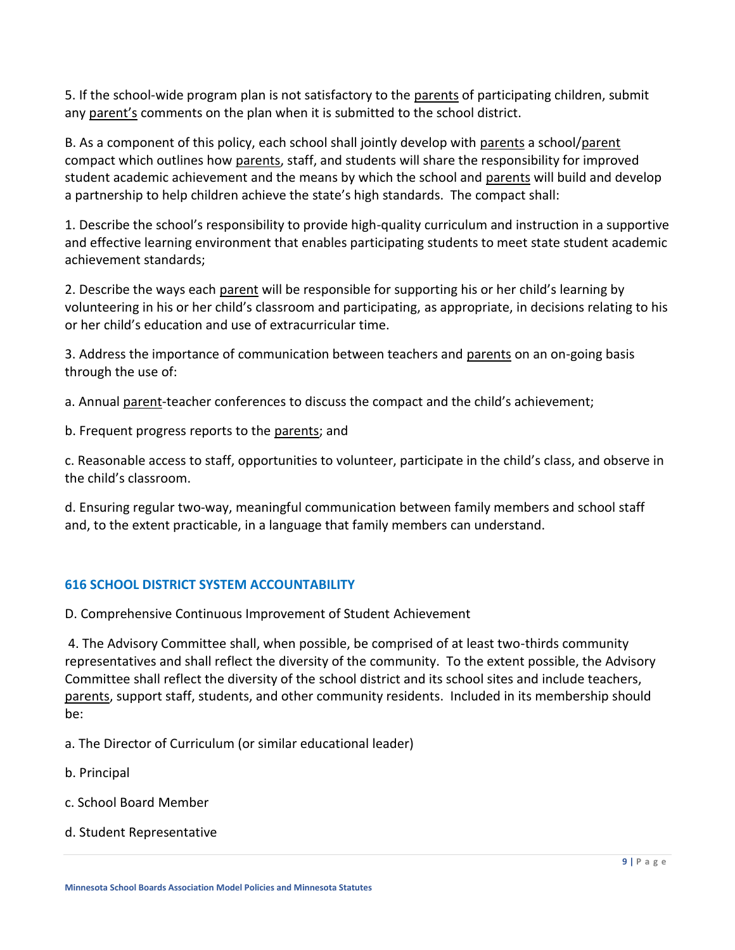5. If the school-wide program plan is not satisfactory to the parents of participating children, submit any parent's comments on the plan when it is submitted to the school district.

B. As a component of this policy, each school shall jointly develop with parents a school/parent compact which outlines how parents, staff, and students will share the responsibility for improved student academic achievement and the means by which the school and parents will build and develop a partnership to help children achieve the state's high standards. The compact shall:

1. Describe the school's responsibility to provide high-quality curriculum and instruction in a supportive and effective learning environment that enables participating students to meet state student academic achievement standards;

2. Describe the ways each parent will be responsible for supporting his or her child's learning by volunteering in his or her child's classroom and participating, as appropriate, in decisions relating to his or her child's education and use of extracurricular time.

3. Address the importance of communication between teachers and parents on an on-going basis through the use of:

a. Annual parent-teacher conferences to discuss the compact and the child's achievement;

b. Frequent progress reports to the parents; and

c. Reasonable access to staff, opportunities to volunteer, participate in the child's class, and observe in the child's classroom.

d. Ensuring regular two-way, meaningful communication between family members and school staff and, to the extent practicable, in a language that family members can understand.

### **616 SCHOOL DISTRICT SYSTEM ACCOUNTABILITY**

D. Comprehensive Continuous Improvement of Student Achievement

4. The Advisory Committee shall, when possible, be comprised of at least two-thirds community representatives and shall reflect the diversity of the community. To the extent possible, the Advisory Committee shall reflect the diversity of the school district and its school sites and include teachers, parents, support staff, students, and other community residents. Included in its membership should be:

a. The Director of Curriculum (or similar educational leader)

- b. Principal
- c. School Board Member
- d. Student Representative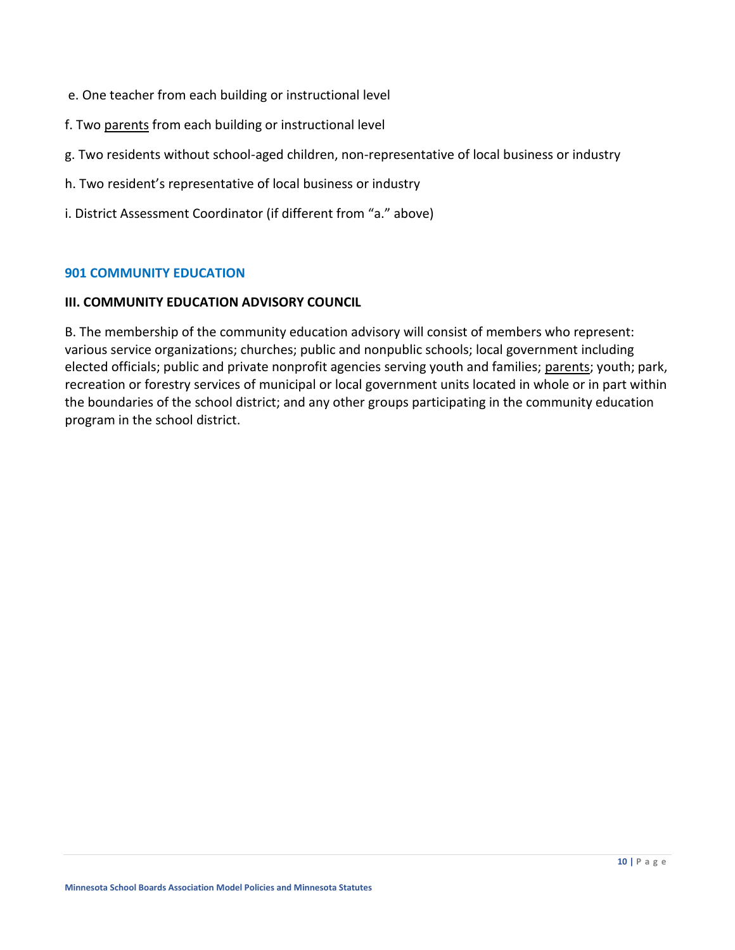- e. One teacher from each building or instructional level
- f. Two parents from each building or instructional level
- g. Two residents without school-aged children, non-representative of local business or industry
- h. Two resident's representative of local business or industry
- i. District Assessment Coordinator (if different from "a." above)

#### **901 COMMUNITY EDUCATION**

#### **III. COMMUNITY EDUCATION ADVISORY COUNCIL**

B. The membership of the community education advisory will consist of members who represent: various service organizations; churches; public and nonpublic schools; local government including elected officials; public and private nonprofit agencies serving youth and families; parents; youth; park, recreation or forestry services of municipal or local government units located in whole or in part within the boundaries of the school district; and any other groups participating in the community education program in the school district.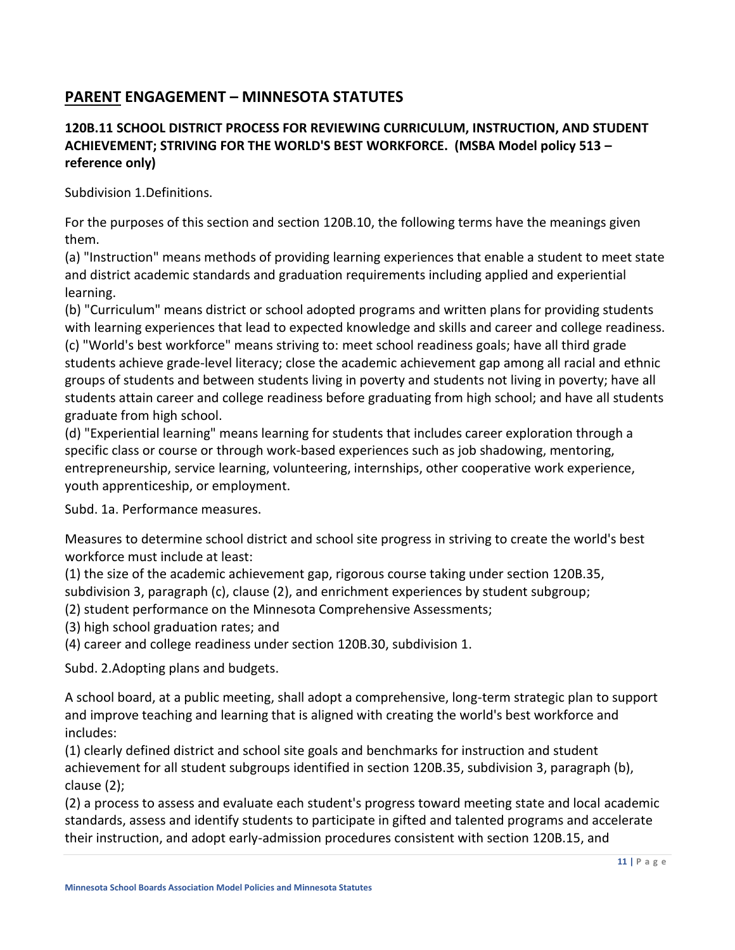# **PARENT ENGAGEMENT – MINNESOTA STATUTES**

# **120B.11 SCHOOL DISTRICT PROCESS FOR REVIEWING CURRICULUM, INSTRUCTION, AND STUDENT ACHIEVEMENT; STRIVING FOR THE WORLD'S BEST WORKFORCE. (MSBA Model policy 513 – reference only)**

Subdivision 1.Definitions.

For the purposes of this section and section [120B.10,](https://www.revisor.mn.gov/statutes/cite/120B.10) the following terms have the meanings given them.

(a) "Instruction" means methods of providing learning experiences that enable a student to meet state and district academic standards and graduation requirements including applied and experiential learning.

(b) "Curriculum" means district or school adopted programs and written plans for providing students with learning experiences that lead to expected knowledge and skills and career and college readiness. (c) "World's best workforce" means striving to: meet school readiness goals; have all third grade students achieve grade-level literacy; close the academic achievement gap among all racial and ethnic groups of students and between students living in poverty and students not living in poverty; have all students attain career and college readiness before graduating from high school; and have all students graduate from high school.

(d) "Experiential learning" means learning for students that includes career exploration through a specific class or course or through work-based experiences such as job shadowing, mentoring, entrepreneurship, service learning, volunteering, internships, other cooperative work experience, youth apprenticeship, or employment.

Subd. 1a. Performance measures.

Measures to determine school district and school site progress in striving to create the world's best workforce must include at least:

(1) the size of the academic achievement gap, rigorous course taking under section [120B.35,](https://www.revisor.mn.gov/statutes/cite/120B.35#stat.120B.35.3) 

[subdivision 3,](https://www.revisor.mn.gov/statutes/cite/120B.35#stat.120B.35.3) paragraph (c), clause (2), and enrichment experiences by student subgroup;

(2) student performance on the Minnesota Comprehensive Assessments;

(3) high school graduation rates; and

(4) career and college readiness under section [120B.30, subdivision 1.](https://www.revisor.mn.gov/statutes/cite/120B.30#stat.120B.30.1)

Subd. 2.Adopting plans and budgets.

A school board, at a public meeting, shall adopt a comprehensive, long-term strategic plan to support and improve teaching and learning that is aligned with creating the world's best workforce and includes:

(1) clearly defined district and school site goals and benchmarks for instruction and student achievement for all student subgroups identified in section [120B.35, subdivision 3,](https://www.revisor.mn.gov/statutes/cite/120B.35#stat.120B.35.3) paragraph (b), clause (2);

(2) a process to assess and evaluate each student's progress toward meeting state and local academic standards, assess and identify students to participate in gifted and talented programs and accelerate their instruction, and adopt early-admission procedures consistent with section [120B.15,](https://www.revisor.mn.gov/statutes/cite/120B.15) and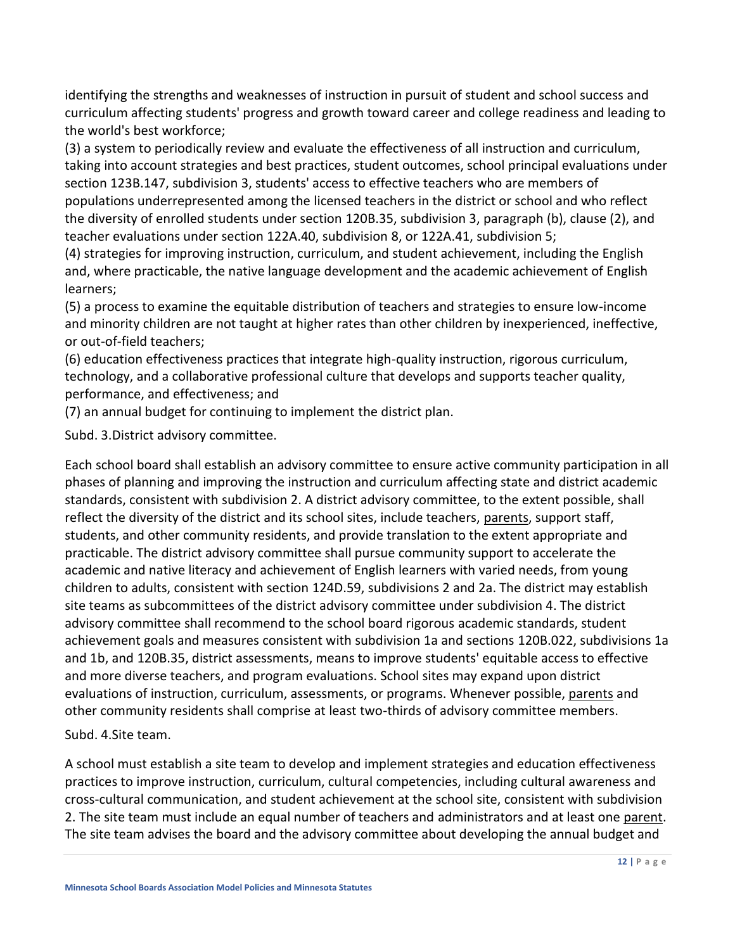identifying the strengths and weaknesses of instruction in pursuit of student and school success and curriculum affecting students' progress and growth toward career and college readiness and leading to the world's best workforce;

(3) a system to periodically review and evaluate the effectiveness of all instruction and curriculum, taking into account strategies and best practices, student outcomes, school principal evaluations under section [123B.147,](https://www.revisor.mn.gov/statutes/cite/123B.147) subdivision 3, students' access to effective teachers who are members of populations underrepresented among the licensed teachers in the district or school and who reflect the diversity of enrolled students under section [120B.35, subdivision 3,](https://www.revisor.mn.gov/statutes/cite/120B.35#stat.120B.35.3) paragraph (b), clause (2), and teacher evaluations under section [122A.40, subdivision 8,](https://www.revisor.mn.gov/statutes/cite/122A.40#stat.122A.40.8) or [122A.41,](https://www.revisor.mn.gov/statutes/cite/122A.41) subdivision 5;

(4) strategies for improving instruction, curriculum, and student achievement, including the English and, where practicable, the native language development and the academic achievement of English learners;

(5) a process to examine the equitable distribution of teachers and strategies to ensure low-income and minority children are not taught at higher rates than other children by inexperienced, ineffective, or out-of-field teachers;

(6) education effectiveness practices that integrate high-quality instruction, rigorous curriculum, technology, and a collaborative professional culture that develops and supports teacher quality, performance, and effectiveness; and

(7) an annual budget for continuing to implement the district plan.

Subd. 3.District advisory committee.

Each school board shall establish an advisory committee to ensure active community participation in all phases of planning and improving the instruction and curriculum affecting state and district academic standards, consistent with subdivision 2. A district advisory committee, to the extent possible, shall reflect the diversity of the district and its school sites, include teachers, parents, support staff, students, and other community residents, and provide translation to the extent appropriate and practicable. The district advisory committee shall pursue community support to accelerate the academic and native literacy and achievement of English learners with varied needs, from young children to adults, consistent with section [124D.59, subdivisions 2](https://www.revisor.mn.gov/statutes/cite/124D.59) and 2a. The district may establish site teams as subcommittees of the district advisory committee under subdivision 4. The district advisory committee shall recommend to the school board rigorous academic standards, student achievement goals and measures consistent with subdivision 1a and sections [120B.022,](https://www.revisor.mn.gov/statutes/cite/120B.022) subdivisions 1a and 1b, and [120B.35,](https://www.revisor.mn.gov/statutes/cite/120B.35) district assessments, means to improve students' equitable access to effective and more diverse teachers, and program evaluations. School sites may expand upon district evaluations of instruction, curriculum, assessments, or programs. Whenever possible, parents and other community residents shall comprise at least two-thirds of advisory committee members.

Subd. 4.Site team.

A school must establish a site team to develop and implement strategies and education effectiveness practices to improve instruction, curriculum, cultural competencies, including cultural awareness and cross-cultural communication, and student achievement at the school site, consistent with subdivision 2. The site team must include an equal number of teachers and administrators and at least one parent. The site team advises the board and the advisory committee about developing the annual budget and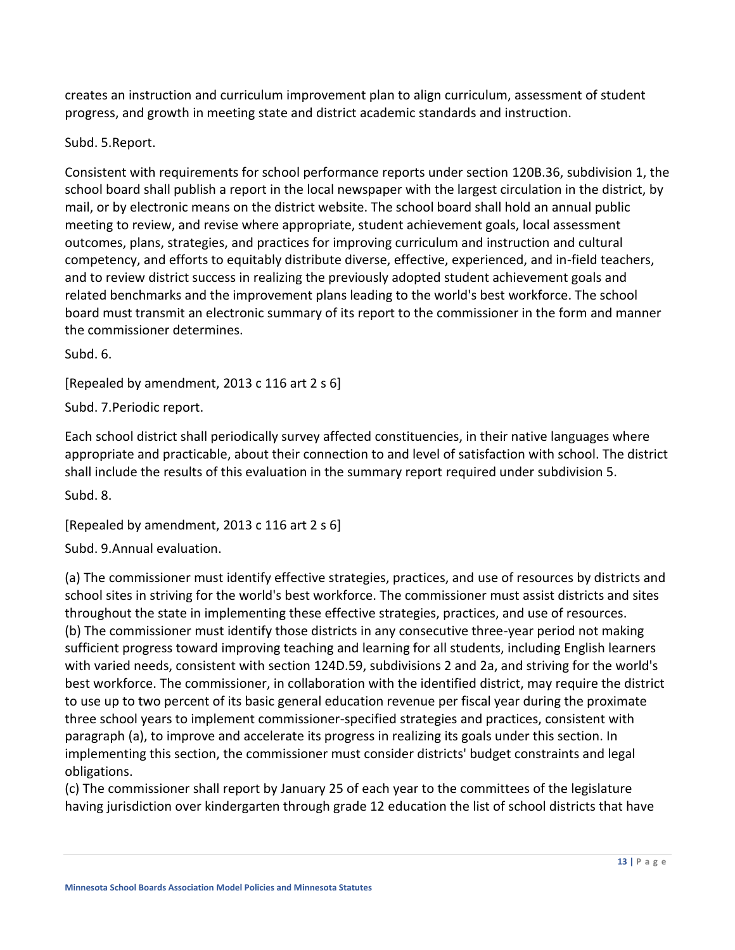creates an instruction and curriculum improvement plan to align curriculum, assessment of student progress, and growth in meeting state and district academic standards and instruction.

### Subd. 5.Report.

Consistent with requirements for school performance reports under section [120B.36, subdivision 1,](https://www.revisor.mn.gov/statutes/cite/120B.36#stat.120B.36.1) the school board shall publish a report in the local newspaper with the largest circulation in the district, by mail, or by electronic means on the district website. The school board shall hold an annual public meeting to review, and revise where appropriate, student achievement goals, local assessment outcomes, plans, strategies, and practices for improving curriculum and instruction and cultural competency, and efforts to equitably distribute diverse, effective, experienced, and in-field teachers, and to review district success in realizing the previously adopted student achievement goals and related benchmarks and the improvement plans leading to the world's best workforce. The school board must transmit an electronic summary of its report to the commissioner in the form and manner the commissioner determines.

Subd. 6.

[Repealed by amendment, [2013 c 116 art 2 s 6\]](https://www.revisor.mn.gov/laws/?id=116&year=2013&type=0)

Subd. 7.Periodic report.

Each school district shall periodically survey affected constituencies, in their native languages where appropriate and practicable, about their connection to and level of satisfaction with school. The district shall include the results of this evaluation in the summary report required under subdivision 5.

Subd. 8.

[Repealed by amendment, [2013 c 116 art 2 s 6\]](https://www.revisor.mn.gov/laws/?id=116&year=2013&type=0)

Subd. 9.Annual evaluation.

(a) The commissioner must identify effective strategies, practices, and use of resources by districts and school sites in striving for the world's best workforce. The commissioner must assist districts and sites throughout the state in implementing these effective strategies, practices, and use of resources. (b) The commissioner must identify those districts in any consecutive three-year period not making sufficient progress toward improving teaching and learning for all students, including English learners with varied needs, consistent with section [124D.59,](https://www.revisor.mn.gov/statutes/cite/124D.59) subdivisions 2 and 2a, and striving for the world's best workforce. The commissioner, in collaboration with the identified district, may require the district to use up to two percent of its basic general education revenue per fiscal year during the proximate three school years to implement commissioner-specified strategies and practices, consistent with paragraph (a), to improve and accelerate its progress in realizing its goals under this section. In implementing this section, the commissioner must consider districts' budget constraints and legal obligations.

(c) The commissioner shall report by January 25 of each year to the committees of the legislature having jurisdiction over kindergarten through grade 12 education the list of school districts that have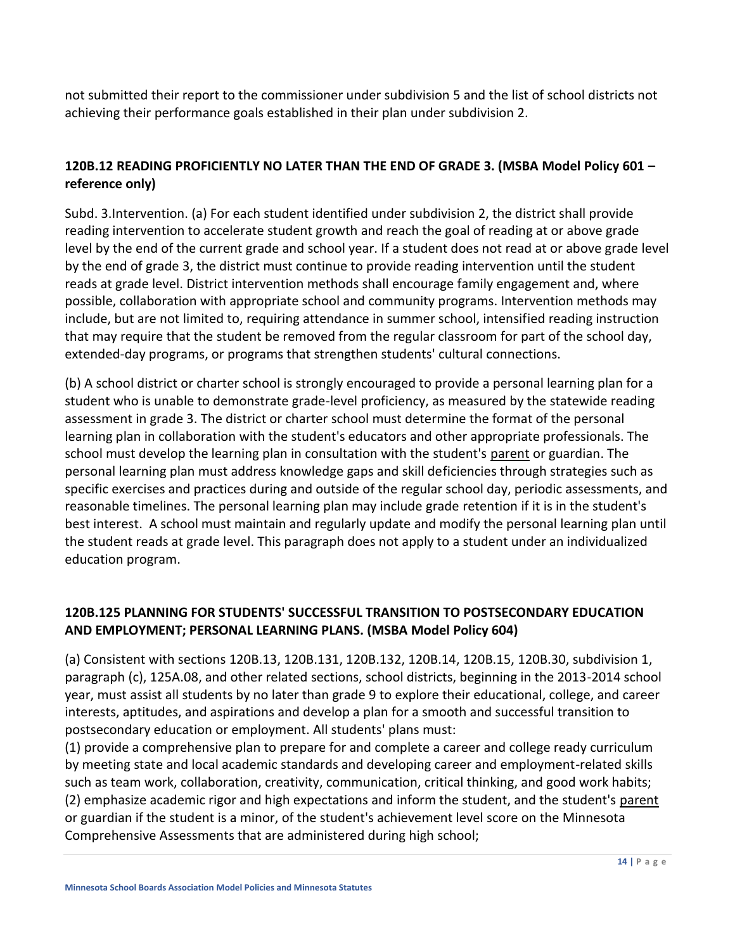not submitted their report to the commissioner under subdivision 5 and the list of school districts not achieving their performance goals established in their plan under subdivision 2.

### **120B.12 READING PROFICIENTLY NO LATER THAN THE END OF GRADE 3. (MSBA Model Policy 601 – reference only)**

Subd. 3.Intervention. (a) For each student identified under subdivision 2, the district shall provide reading intervention to accelerate student growth and reach the goal of reading at or above grade level by the end of the current grade and school year. If a student does not read at or above grade level by the end of grade 3, the district must continue to provide reading intervention until the student reads at grade level. District intervention methods shall encourage family engagement and, where possible, collaboration with appropriate school and community programs. Intervention methods may include, but are not limited to, requiring attendance in summer school, intensified reading instruction that may require that the student be removed from the regular classroom for part of the school day, extended-day programs, or programs that strengthen students' cultural connections.

(b) A school district or charter school is strongly encouraged to provide a personal learning plan for a student who is unable to demonstrate grade-level proficiency, as measured by the statewide reading assessment in grade 3. The district or charter school must determine the format of the personal learning plan in collaboration with the student's educators and other appropriate professionals. The school must develop the learning plan in consultation with the student's parent or guardian. The personal learning plan must address knowledge gaps and skill deficiencies through strategies such as specific exercises and practices during and outside of the regular school day, periodic assessments, and reasonable timelines. The personal learning plan may include grade retention if it is in the student's best interest. A school must maintain and regularly update and modify the personal learning plan until the student reads at grade level. This paragraph does not apply to a student under an individualized education program.

### **120B.125 PLANNING FOR STUDENTS' SUCCESSFUL TRANSITION TO POSTSECONDARY EDUCATION AND EMPLOYMENT; PERSONAL LEARNING PLANS. (MSBA Model Policy 604)**

(a) Consistent with sections [120B.13,](https://www.revisor.mn.gov/statutes/2018/cite/120B.13) [120B.131,](https://www.revisor.mn.gov/statutes/2018/cite/120B.131) [120B.132,](https://www.revisor.mn.gov/statutes/2018/cite/120B.132) [120B.14,](https://www.revisor.mn.gov/statutes/2018/cite/120B.14) [120B.15,](https://www.revisor.mn.gov/statutes/2018/cite/120B.15) [120B.30, subdivision 1,](https://www.revisor.mn.gov/statutes/2018/cite/120B.30#stat.120B.30.1) paragraph (c), 125A.08, and other related sections, school districts, beginning in the 2013-2014 school year, must assist all students by no later than grade 9 to explore their educational, college, and career interests, aptitudes, and aspirations and develop a plan for a smooth and successful transition to postsecondary education or employment. All students' plans must:

(1) provide a comprehensive plan to prepare for and complete a career and college ready curriculum by meeting state and local academic standards and developing career and employment-related skills such as team work, collaboration, creativity, communication, critical thinking, and good work habits; (2) emphasize academic rigor and high expectations and inform the student, and the student's parent or guardian if the student is a minor, of the student's achievement level score on the Minnesota Comprehensive Assessments that are administered during high school;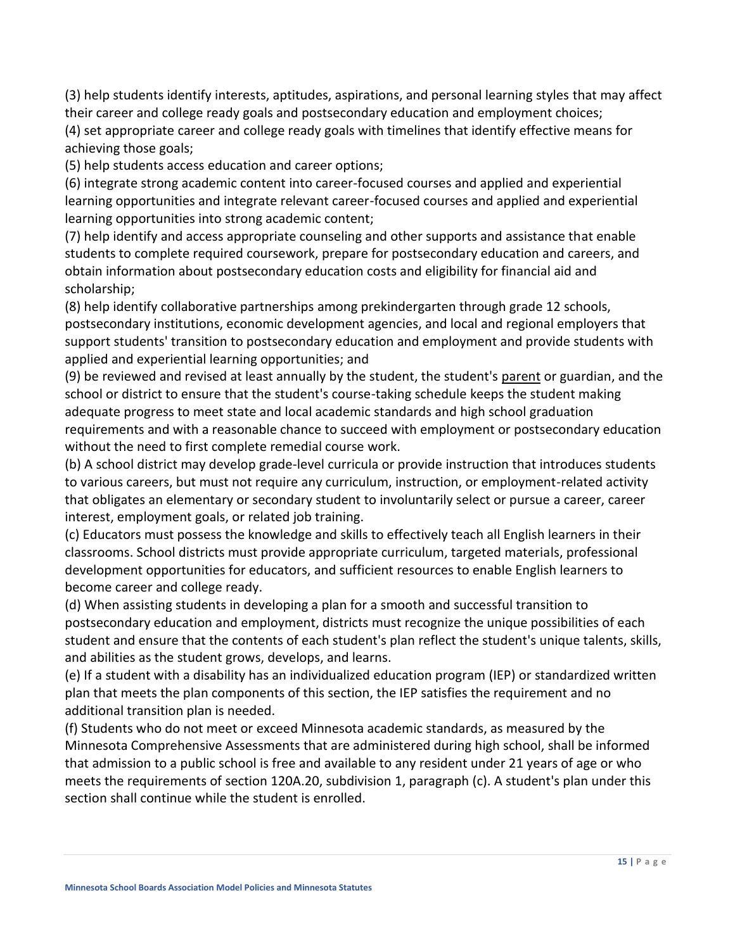(3) help students identify interests, aptitudes, aspirations, and personal learning styles that may affect their career and college ready goals and postsecondary education and employment choices;

(4) set appropriate career and college ready goals with timelines that identify effective means for achieving those goals;

(5) help students access education and career options;

(6) integrate strong academic content into career-focused courses and applied and experiential learning opportunities and integrate relevant career-focused courses and applied and experiential learning opportunities into strong academic content;

(7) help identify and access appropriate counseling and other supports and assistance that enable students to complete required coursework, prepare for postsecondary education and careers, and obtain information about postsecondary education costs and eligibility for financial aid and scholarship;

(8) help identify collaborative partnerships among prekindergarten through grade 12 schools, postsecondary institutions, economic development agencies, and local and regional employers that support students' transition to postsecondary education and employment and provide students with applied and experiential learning opportunities; and

(9) be reviewed and revised at least annually by the student, the student's parent or guardian, and the school or district to ensure that the student's course-taking schedule keeps the student making adequate progress to meet state and local academic standards and high school graduation requirements and with a reasonable chance to succeed with employment or postsecondary education without the need to first complete remedial course work.

(b) A school district may develop grade-level curricula or provide instruction that introduces students to various careers, but must not require any curriculum, instruction, or employment-related activity that obligates an elementary or secondary student to involuntarily select or pursue a career, career interest, employment goals, or related job training.

(c) Educators must possess the knowledge and skills to effectively teach all English learners in their classrooms. School districts must provide appropriate curriculum, targeted materials, professional development opportunities for educators, and sufficient resources to enable English learners to become career and college ready.

(d) When assisting students in developing a plan for a smooth and successful transition to postsecondary education and employment, districts must recognize the unique possibilities of each student and ensure that the contents of each student's plan reflect the student's unique talents, skills, and abilities as the student grows, develops, and learns.

(e) If a student with a disability has an individualized education program (IEP) or standardized written plan that meets the plan components of this section, the IEP satisfies the requirement and no additional transition plan is needed.

(f) Students who do not meet or exceed Minnesota academic standards, as measured by the Minnesota Comprehensive Assessments that are administered during high school, shall be informed that admission to a public school is free and available to any resident under 21 years of age or who meets the requirements of section [120A.20, subdivision 1,](https://www.revisor.mn.gov/statutes/2018/cite/120A.20#stat.120A.20.1) paragraph (c). A student's plan under this section shall continue while the student is enrolled.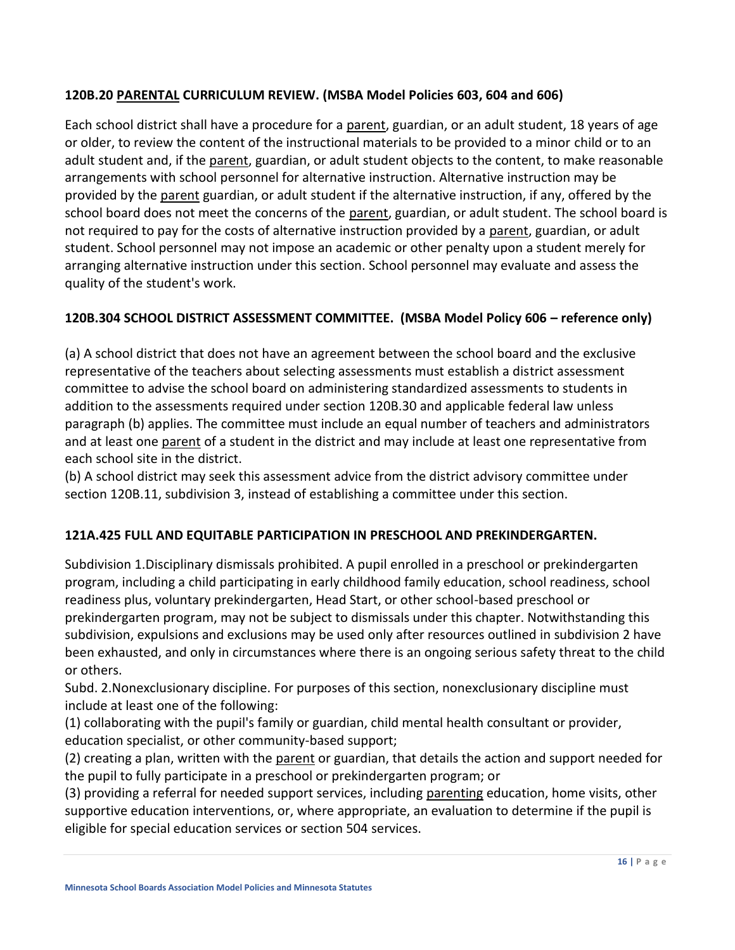### **120B.20 PARENTAL CURRICULUM REVIEW. (MSBA Model Policies 603, 604 and 606)**

Each school district shall have a procedure for a parent, guardian, or an adult student, 18 years of age or older, to review the content of the instructional materials to be provided to a minor child or to an adult student and, if the parent, guardian, or adult student objects to the content, to make reasonable arrangements with school personnel for alternative instruction. Alternative instruction may be provided by the parent guardian, or adult student if the alternative instruction, if any, offered by the school board does not meet the concerns of the parent, guardian, or adult student. The school board is not required to pay for the costs of alternative instruction provided by a parent, guardian, or adult student. School personnel may not impose an academic or other penalty upon a student merely for arranging alternative instruction under this section. School personnel may evaluate and assess the quality of the student's work.

### **120B.304 SCHOOL DISTRICT ASSESSMENT COMMITTEE. (MSBA Model Policy 606 – reference only)**

(a) A school district that does not have an agreement between the school board and the exclusive representative of the teachers about selecting assessments must establish a district assessment committee to advise the school board on administering standardized assessments to students in addition to the assessments required under section 120B.30 and applicable federal law unless paragraph (b) applies. The committee must include an equal number of teachers and administrators and at least one parent of a student in the district and may include at least one representative from each school site in the district.

(b) A school district may seek this assessment advice from the district advisory committee under section 120B.11, subdivision 3, instead of establishing a committee under this section.

### **121A.425 FULL AND EQUITABLE PARTICIPATION IN PRESCHOOL AND PREKINDERGARTEN.**

Subdivision 1.Disciplinary dismissals prohibited. A pupil enrolled in a preschool or prekindergarten program, including a child participating in early childhood family education, school readiness, school readiness plus, voluntary prekindergarten, Head Start, or other school-based preschool or prekindergarten program, may not be subject to dismissals under this chapter. Notwithstanding this subdivision, expulsions and exclusions may be used only after resources outlined in subdivision 2 have been exhausted, and only in circumstances where there is an ongoing serious safety threat to the child or others.

Subd. 2.Nonexclusionary discipline. For purposes of this section, nonexclusionary discipline must include at least one of the following:

(1) collaborating with the pupil's family or guardian, child mental health consultant or provider, education specialist, or other community-based support;

(2) creating a plan, written with the parent or guardian, that details the action and support needed for the pupil to fully participate in a preschool or prekindergarten program; or

(3) providing a referral for needed support services, including parenting education, home visits, other supportive education interventions, or, where appropriate, an evaluation to determine if the pupil is eligible for special education services or section 504 services.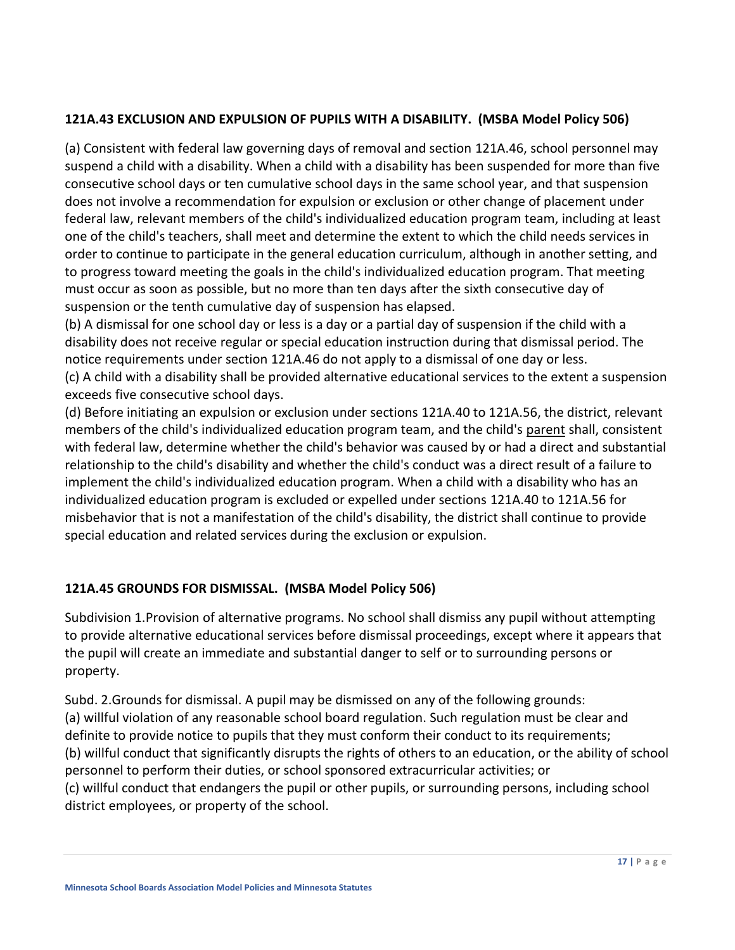### **121A.43 EXCLUSION AND EXPULSION OF PUPILS WITH A DISABILITY. (MSBA Model Policy 506)**

(a) Consistent with federal law governing days of removal and section [121A.46,](https://www.revisor.mn.gov/statutes/cite/121A.46) school personnel may suspend a child with a disability. When a child with a disability has been suspended for more than five consecutive school days or ten cumulative school days in the same school year, and that suspension does not involve a recommendation for expulsion or exclusion or other change of placement under federal law, relevant members of the child's individualized education program team, including at least one of the child's teachers, shall meet and determine the extent to which the child needs services in order to continue to participate in the general education curriculum, although in another setting, and to progress toward meeting the goals in the child's individualized education program. That meeting must occur as soon as possible, but no more than ten days after the sixth consecutive day of suspension or the tenth cumulative day of suspension has elapsed.

(b) A dismissal for one school day or less is a day or a partial day of suspension if the child with a disability does not receive regular or special education instruction during that dismissal period. The notice requirements under section [121A.46](https://www.revisor.mn.gov/statutes/cite/121A.46) do not apply to a dismissal of one day or less.

(c) A child with a disability shall be provided alternative educational services to the extent a suspension exceeds five consecutive school days.

(d) Before initiating an expulsion or exclusion under sections [121A.40](https://www.revisor.mn.gov/statutes/cite/121A.40) to [121A.56,](https://www.revisor.mn.gov/statutes/cite/121A.56) the district, relevant members of the child's individualized education program team, and the child's parent shall, consistent with federal law, determine whether the child's behavior was caused by or had a direct and substantial relationship to the child's disability and whether the child's conduct was a direct result of a failure to implement the child's individualized education program. When a child with a disability who has an individualized education program is excluded or expelled under sections [121A.40](https://www.revisor.mn.gov/statutes/cite/121A.40) t[o 121A.56](https://www.revisor.mn.gov/statutes/cite/121A.56) for misbehavior that is not a manifestation of the child's disability, the district shall continue to provide special education and related services during the exclusion or expulsion.

### **121A.45 GROUNDS FOR DISMISSAL. (MSBA Model Policy 506)**

Subdivision 1.Provision of alternative programs. No school shall dismiss any pupil without attempting to provide alternative educational services before dismissal proceedings, except where it appears that the pupil will create an immediate and substantial danger to self or to surrounding persons or property.

Subd. 2.Grounds for dismissal. A pupil may be dismissed on any of the following grounds: (a) willful violation of any reasonable school board regulation. Such regulation must be clear and definite to provide notice to pupils that they must conform their conduct to its requirements; (b) willful conduct that significantly disrupts the rights of others to an education, or the ability of school personnel to perform their duties, or school sponsored extracurricular activities; or (c) willful conduct that endangers the pupil or other pupils, or surrounding persons, including school district employees, or property of the school.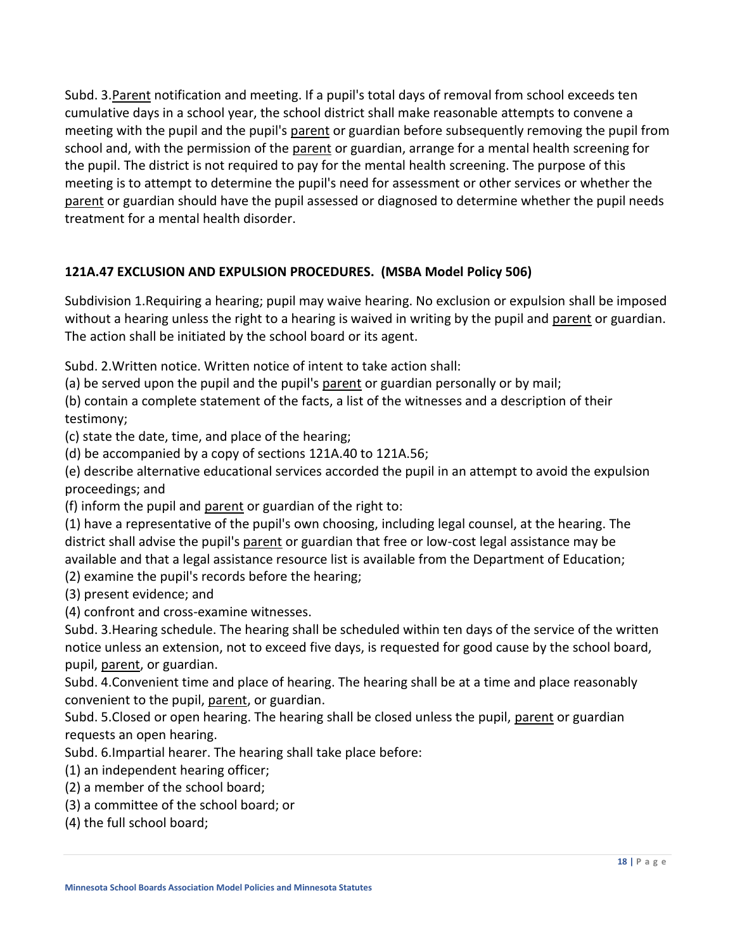Subd. 3.Parent notification and meeting. If a pupil's total days of removal from school exceeds ten cumulative days in a school year, the school district shall make reasonable attempts to convene a meeting with the pupil and the pupil's parent or guardian before subsequently removing the pupil from school and, with the permission of the parent or guardian, arrange for a mental health screening for the pupil. The district is not required to pay for the mental health screening. The purpose of this meeting is to attempt to determine the pupil's need for assessment or other services or whether the parent or guardian should have the pupil assessed or diagnosed to determine whether the pupil needs treatment for a mental health disorder.

### **121A.47 EXCLUSION AND EXPULSION PROCEDURES. (MSBA Model Policy 506)**

Subdivision 1.Requiring a hearing; pupil may waive hearing. No exclusion or expulsion shall be imposed without a hearing unless the right to a hearing is waived in writing by the pupil and parent or guardian. The action shall be initiated by the school board or its agent.

Subd. 2.Written notice. Written notice of intent to take action shall:

(a) be served upon the pupil and the pupil's parent or guardian personally or by mail;

(b) contain a complete statement of the facts, a list of the witnesses and a description of their testimony;

(c) state the date, time, and place of the hearing;

(d) be accompanied by a copy of sections [121A.40](https://www.revisor.mn.gov/statutes/cite/121A.40) to [121A.56;](https://www.revisor.mn.gov/statutes/cite/121A.56)

(e) describe alternative educational services accorded the pupil in an attempt to avoid the expulsion proceedings; and

(f) inform the pupil and parent or guardian of the right to:

(1) have a representative of the pupil's own choosing, including legal counsel, at the hearing. The district shall advise the pupil's parent or guardian that free or low-cost legal assistance may be available and that a legal assistance resource list is available from the Department of Education;

(2) examine the pupil's records before the hearing;

(3) present evidence; and

(4) confront and cross-examine witnesses.

Subd. 3.Hearing schedule. The hearing shall be scheduled within ten days of the service of the written notice unless an extension, not to exceed five days, is requested for good cause by the school board, pupil, parent, or guardian.

Subd. 4.Convenient time and place of hearing. The hearing shall be at a time and place reasonably convenient to the pupil, parent, or guardian.

Subd. 5. Closed or open hearing. The hearing shall be closed unless the pupil, parent or guardian requests an open hearing.

Subd. 6.Impartial hearer. The hearing shall take place before:

(1) an independent hearing officer;

(2) a member of the school board;

- (3) a committee of the school board; or
- (4) the full school board;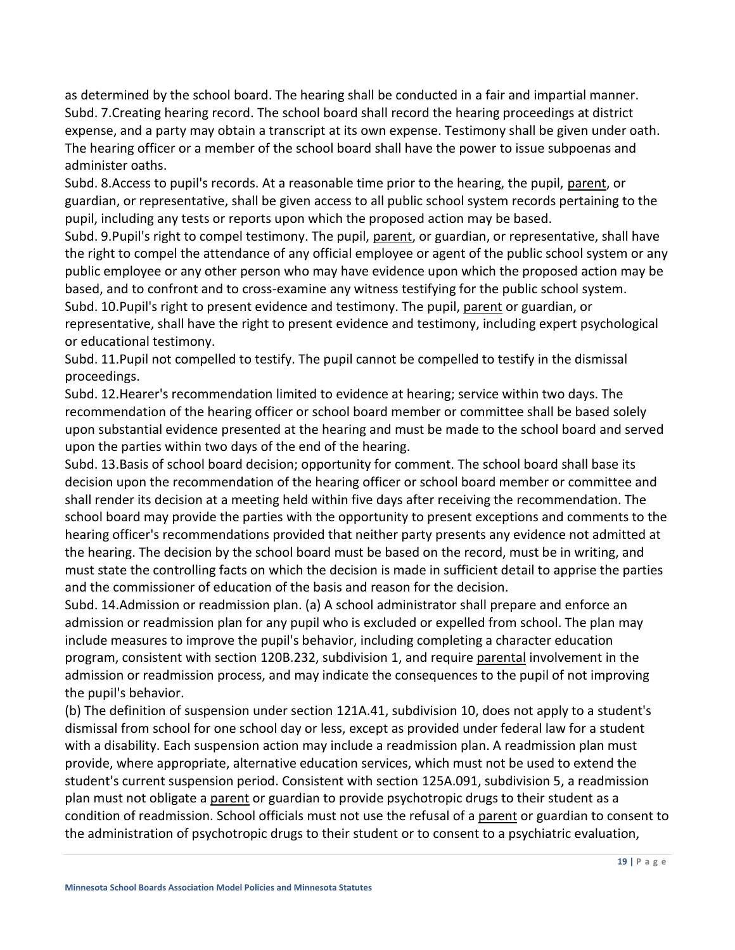as determined by the school board. The hearing shall be conducted in a fair and impartial manner. Subd. 7.Creating hearing record. The school board shall record the hearing proceedings at district expense, and a party may obtain a transcript at its own expense. Testimony shall be given under oath. The hearing officer or a member of the school board shall have the power to issue subpoenas and administer oaths.

Subd. 8. Access to pupil's records. At a reasonable time prior to the hearing, the pupil, parent, or guardian, or representative, shall be given access to all public school system records pertaining to the pupil, including any tests or reports upon which the proposed action may be based.

Subd. 9.Pupil's right to compel testimony. The pupil, parent, or guardian, or representative, shall have the right to compel the attendance of any official employee or agent of the public school system or any public employee or any other person who may have evidence upon which the proposed action may be based, and to confront and to cross-examine any witness testifying for the public school system.

Subd. 10.Pupil's right to present evidence and testimony. The pupil, parent or guardian, or representative, shall have the right to present evidence and testimony, including expert psychological or educational testimony.

Subd. 11.Pupil not compelled to testify. The pupil cannot be compelled to testify in the dismissal proceedings.

Subd. 12.Hearer's recommendation limited to evidence at hearing; service within two days. The recommendation of the hearing officer or school board member or committee shall be based solely upon substantial evidence presented at the hearing and must be made to the school board and served upon the parties within two days of the end of the hearing.

Subd. 13.Basis of school board decision; opportunity for comment. The school board shall base its decision upon the recommendation of the hearing officer or school board member or committee and shall render its decision at a meeting held within five days after receiving the recommendation. The school board may provide the parties with the opportunity to present exceptions and comments to the hearing officer's recommendations provided that neither party presents any evidence not admitted at the hearing. The decision by the school board must be based on the record, must be in writing, and must state the controlling facts on which the decision is made in sufficient detail to apprise the parties and the commissioner of education of the basis and reason for the decision.

Subd. 14.Admission or readmission plan. (a) A school administrator shall prepare and enforce an admission or readmission plan for any pupil who is excluded or expelled from school. The plan may include measures to improve the pupil's behavior, including completing a character education program, consistent with section [120B.232, subdivision 1,](https://www.revisor.mn.gov/statutes/cite/120B.232#stat.120B.232.1) and require parental involvement in the admission or readmission process, and may indicate the consequences to the pupil of not improving the pupil's behavior.

(b) The definition of suspension under section [121A.41, subdivision 10,](https://www.revisor.mn.gov/statutes/cite/121A.41#stat.121A.41.10) does not apply to a student's dismissal from school for one school day or less, except as provided under federal law for a student with a disability. Each suspension action may include a readmission plan. A readmission plan must provide, where appropriate, alternative education services, which must not be used to extend the student's current suspension period. Consistent with section [125A.091, subdivision 5,](https://www.revisor.mn.gov/statutes/cite/125A.091#stat.125A.091.5) a readmission plan must not obligate a parent or guardian to provide psychotropic drugs to their student as a condition of readmission. School officials must not use the refusal of a parent or guardian to consent to the administration of psychotropic drugs to their student or to consent to a psychiatric evaluation,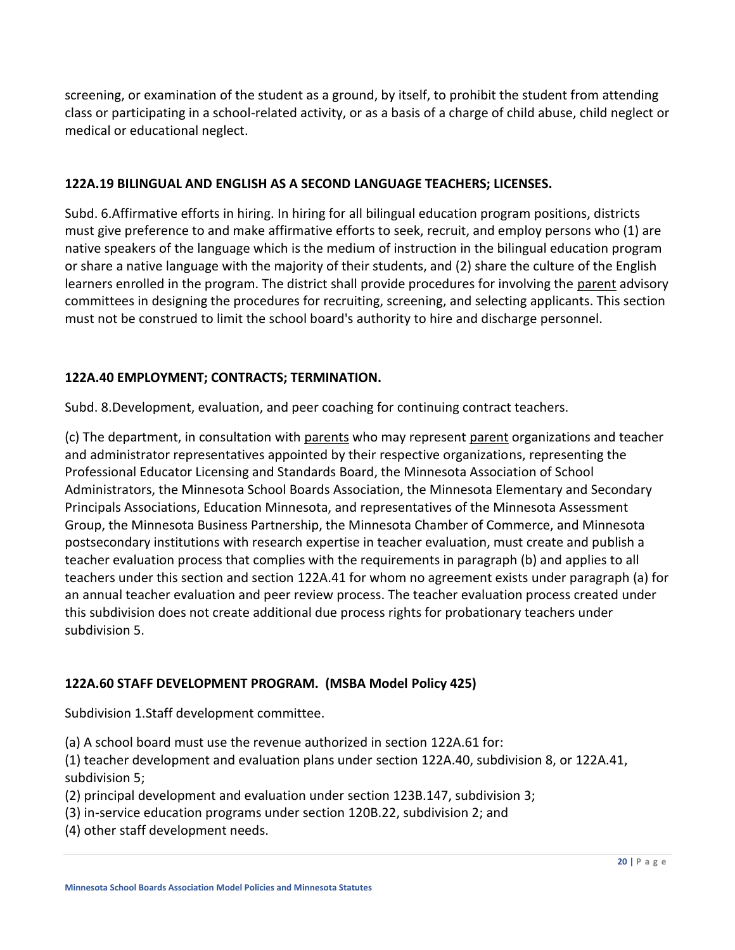screening, or examination of the student as a ground, by itself, to prohibit the student from attending class or participating in a school-related activity, or as a basis of a charge of child abuse, child neglect or medical or educational neglect.

### **122A.19 BILINGUAL AND ENGLISH AS A SECOND LANGUAGE TEACHERS; LICENSES.**

Subd. 6.Affirmative efforts in hiring. In hiring for all bilingual education program positions, districts must give preference to and make affirmative efforts to seek, recruit, and employ persons who (1) are native speakers of the language which is the medium of instruction in the bilingual education program or share a native language with the majority of their students, and (2) share the culture of the English learners enrolled in the program. The district shall provide procedures for involving the parent advisory committees in designing the procedures for recruiting, screening, and selecting applicants. This section must not be construed to limit the school board's authority to hire and discharge personnel.

### **122A.40 EMPLOYMENT; CONTRACTS; TERMINATION.**

Subd. 8.Development, evaluation, and peer coaching for continuing contract teachers.

(c) The department, in consultation with parents who may represent parent organizations and teacher and administrator representatives appointed by their respective organizations, representing the Professional Educator Licensing and Standards Board, the Minnesota Association of School Administrators, the Minnesota School Boards Association, the Minnesota Elementary and Secondary Principals Associations, Education Minnesota, and representatives of the Minnesota Assessment Group, the Minnesota Business Partnership, the Minnesota Chamber of Commerce, and Minnesota postsecondary institutions with research expertise in teacher evaluation, must create and publish a teacher evaluation process that complies with the requirements in paragraph (b) and applies to all teachers under this section and section [122A.41](https://www.revisor.mn.gov/statutes/cite/122A.41) for whom no agreement exists under paragraph (a) for an annual teacher evaluation and peer review process. The teacher evaluation process created under this subdivision does not create additional due process rights for probationary teachers under subdivision 5.

### **122A.60 STAFF DEVELOPMENT PROGRAM. (MSBA Model Policy 425)**

Subdivision 1.Staff development committee.

(a) A school board must use the revenue authorized in section [122A.61](https://www.revisor.mn.gov/statutes/cite/122A.61) for:

(1) teacher development and evaluation plans under section [122A.40,](https://www.revisor.mn.gov/statutes/cite/122A.40) subdivision 8, or [122A.41,](https://www.revisor.mn.gov/statutes/cite/122A.41#stat.122A.41.5)  [subdivision 5;](https://www.revisor.mn.gov/statutes/cite/122A.41#stat.122A.41.5)

- (2) principal development and evaluation under section [123B.147, subdivision 3;](https://www.revisor.mn.gov/statutes/cite/123B.147#stat.123B.147.3)
- (3) in-service education programs under section [120B.22, subdivision 2;](https://www.revisor.mn.gov/statutes/cite/120B.22#stat.120B.22.2) and
- (4) other staff development needs.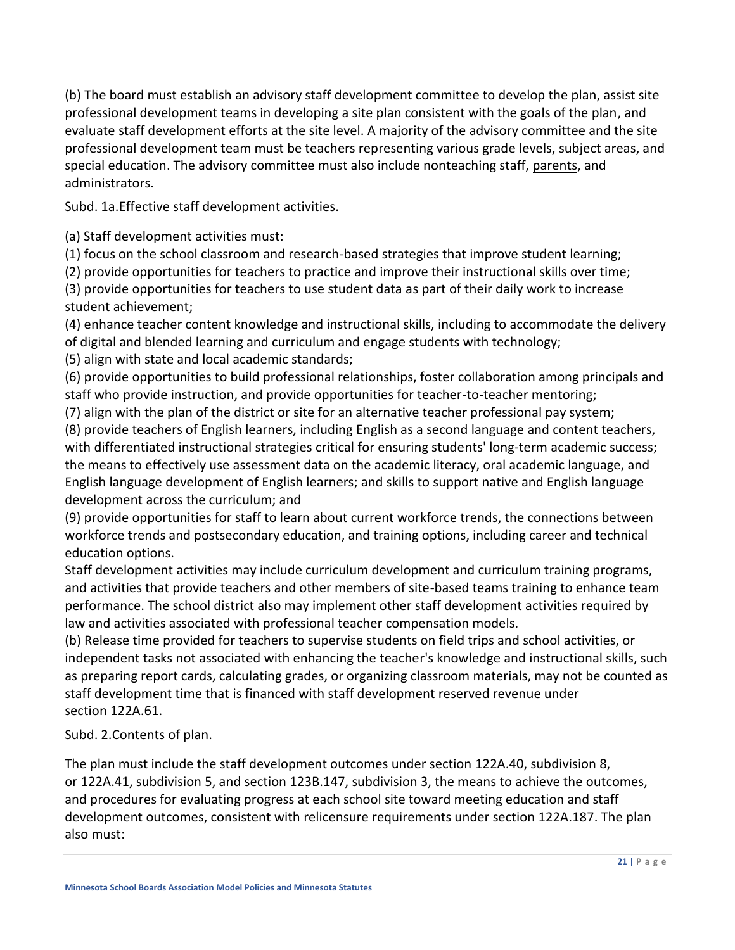(b) The board must establish an advisory staff development committee to develop the plan, assist site professional development teams in developing a site plan consistent with the goals of the plan, and evaluate staff development efforts at the site level. A majority of the advisory committee and the site professional development team must be teachers representing various grade levels, subject areas, and special education. The advisory committee must also include nonteaching staff, parents, and administrators.

Subd. 1a.Effective staff development activities.

(a) Staff development activities must:

(1) focus on the school classroom and research-based strategies that improve student learning;

(2) provide opportunities for teachers to practice and improve their instructional skills over time;

(3) provide opportunities for teachers to use student data as part of their daily work to increase student achievement;

(4) enhance teacher content knowledge and instructional skills, including to accommodate the delivery of digital and blended learning and curriculum and engage students with technology;

(5) align with state and local academic standards;

(6) provide opportunities to build professional relationships, foster collaboration among principals and staff who provide instruction, and provide opportunities for teacher-to-teacher mentoring;

(7) align with the plan of the district or site for an alternative teacher professional pay system;

(8) provide teachers of English learners, including English as a second language and content teachers, with differentiated instructional strategies critical for ensuring students' long-term academic success; the means to effectively use assessment data on the academic literacy, oral academic language, and English language development of English learners; and skills to support native and English language development across the curriculum; and

(9) provide opportunities for staff to learn about current workforce trends, the connections between workforce trends and postsecondary education, and training options, including career and technical education options.

Staff development activities may include curriculum development and curriculum training programs, and activities that provide teachers and other members of site-based teams training to enhance team performance. The school district also may implement other staff development activities required by law and activities associated with professional teacher compensation models.

(b) Release time provided for teachers to supervise students on field trips and school activities, or independent tasks not associated with enhancing the teacher's knowledge and instructional skills, such as preparing report cards, calculating grades, or organizing classroom materials, may not be counted as staff development time that is financed with staff development reserved revenue under section [122A.61.](https://www.revisor.mn.gov/statutes/cite/122A.61)

Subd. 2.Contents of plan.

The plan must include the staff development outcomes under section [122A.40, subdivision 8,](https://www.revisor.mn.gov/statutes/cite/122A.40#stat.122A.40.8) or [122A.41, subdivision 5,](https://www.revisor.mn.gov/statutes/cite/122A.41#stat.122A.41.5) and section [123B.147,](https://www.revisor.mn.gov/statutes/cite/123B.147) subdivision 3, the means to achieve the outcomes, and procedures for evaluating progress at each school site toward meeting education and staff development outcomes, consistent with relicensure requirements under section [122A.187.](https://www.revisor.mn.gov/statutes/cite/122A.187) The plan also must: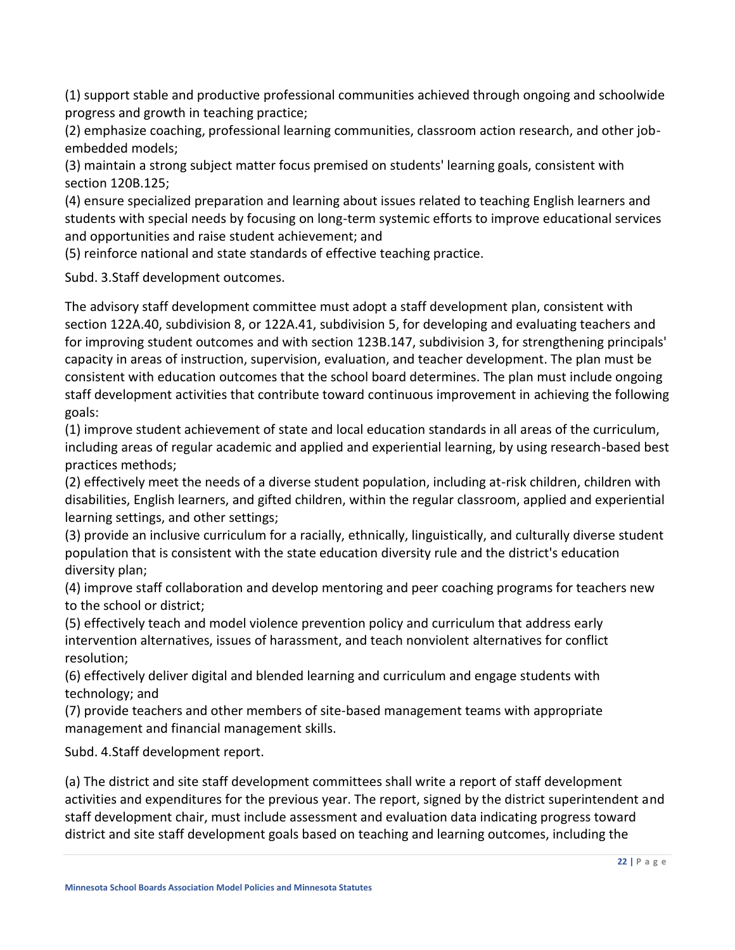(1) support stable and productive professional communities achieved through ongoing and schoolwide progress and growth in teaching practice;

(2) emphasize coaching, professional learning communities, classroom action research, and other jobembedded models;

(3) maintain a strong subject matter focus premised on students' learning goals, consistent with section [120B.125;](https://www.revisor.mn.gov/statutes/cite/120B.125)

(4) ensure specialized preparation and learning about issues related to teaching English learners and students with special needs by focusing on long-term systemic efforts to improve educational services and opportunities and raise student achievement; and

(5) reinforce national and state standards of effective teaching practice.

Subd. 3.Staff development outcomes.

The advisory staff development committee must adopt a staff development plan, consistent with section [122A.40, subdivision 8,](https://www.revisor.mn.gov/statutes/cite/122A.40#stat.122A.40.8) or [122A.41, subdivision 5,](https://www.revisor.mn.gov/statutes/cite/122A.41#stat.122A.41.5) for developing and evaluating teachers and for improving student outcomes and with section [123B.147, subdivision 3,](https://www.revisor.mn.gov/statutes/cite/123B.147#stat.123B.147.3) for strengthening principals' capacity in areas of instruction, supervision, evaluation, and teacher development. The plan must be consistent with education outcomes that the school board determines. The plan must include ongoing staff development activities that contribute toward continuous improvement in achieving the following goals:

(1) improve student achievement of state and local education standards in all areas of the curriculum, including areas of regular academic and applied and experiential learning, by using research-based best practices methods;

(2) effectively meet the needs of a diverse student population, including at-risk children, children with disabilities, English learners, and gifted children, within the regular classroom, applied and experiential learning settings, and other settings;

(3) provide an inclusive curriculum for a racially, ethnically, linguistically, and culturally diverse student population that is consistent with the state education diversity rule and the district's education diversity plan;

(4) improve staff collaboration and develop mentoring and peer coaching programs for teachers new to the school or district;

(5) effectively teach and model violence prevention policy and curriculum that address early intervention alternatives, issues of harassment, and teach nonviolent alternatives for conflict resolution;

(6) effectively deliver digital and blended learning and curriculum and engage students with technology; and

(7) provide teachers and other members of site-based management teams with appropriate management and financial management skills.

Subd. 4.Staff development report.

(a) The district and site staff development committees shall write a report of staff development activities and expenditures for the previous year. The report, signed by the district superintendent and staff development chair, must include assessment and evaluation data indicating progress toward district and site staff development goals based on teaching and learning outcomes, including the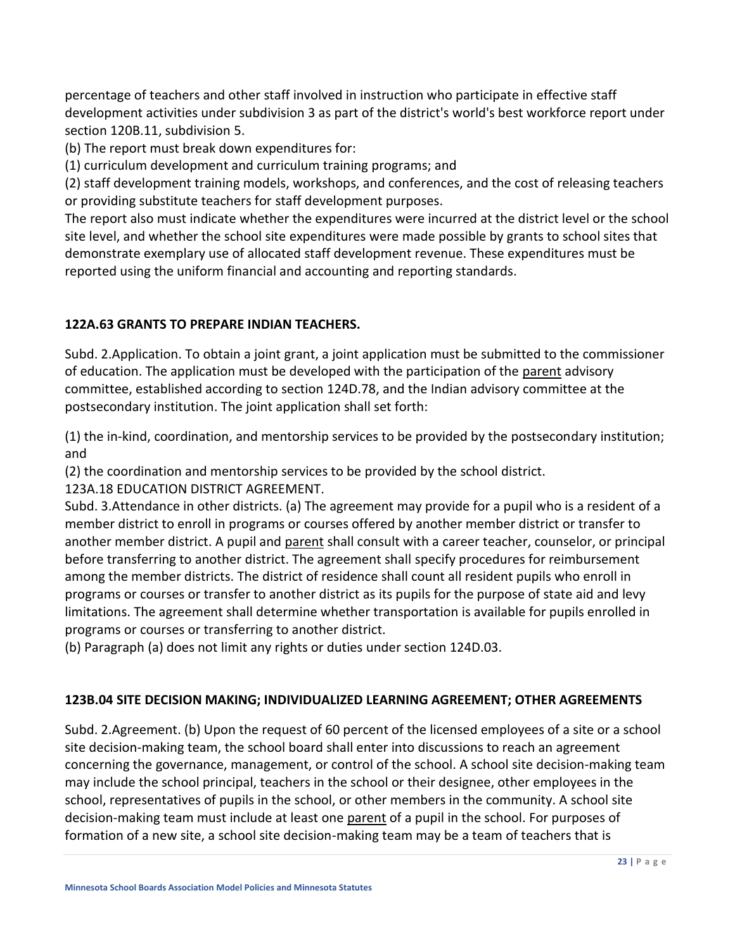percentage of teachers and other staff involved in instruction who participate in effective staff development activities under subdivision 3 as part of the district's world's best workforce report under section [120B.11, subdivision](https://www.revisor.mn.gov/statutes/cite/120B.11#stat.120B.11.5) 5.

(b) The report must break down expenditures for:

(1) curriculum development and curriculum training programs; and

(2) staff development training models, workshops, and conferences, and the cost of releasing teachers or providing substitute teachers for staff development purposes.

The report also must indicate whether the expenditures were incurred at the district level or the school site level, and whether the school site expenditures were made possible by grants to school sites that demonstrate exemplary use of allocated staff development revenue. These expenditures must be reported using the uniform financial and accounting and reporting standards.

### **122A.63 GRANTS TO PREPARE INDIAN TEACHERS.**

Subd. 2.Application. To obtain a joint grant, a joint application must be submitted to the commissioner of education. The application must be developed with the participation of the parent advisory committee, established according to section [124D.78,](https://www.revisor.mn.gov/statutes/cite/124D.78) and the Indian advisory committee at the postsecondary institution. The joint application shall set forth:

(1) the in-kind, coordination, and mentorship services to be provided by the postsecondary institution; and

(2) the coordination and mentorship services to be provided by the school district.

123A.18 EDUCATION DISTRICT AGREEMENT.

Subd. 3.Attendance in other districts. (a) The agreement may provide for a pupil who is a resident of a member district to enroll in programs or courses offered by another member district or transfer to another member district. A pupil and parent shall consult with a career teacher, counselor, or principal before transferring to another district. The agreement shall specify procedures for reimbursement among the member districts. The district of residence shall count all resident pupils who enroll in programs or courses or transfer to another district as its pupils for the purpose of state aid and levy limitations. The agreement shall determine whether transportation is available for pupils enrolled in programs or courses or transferring to another district.

(b) Paragraph (a) does not limit any rights or duties under section 124D.03.

# **123B.04 SITE DECISION MAKING; INDIVIDUALIZED LEARNING AGREEMENT; OTHER AGREEMENTS**

Subd. 2.Agreement. (b) Upon the request of 60 percent of the licensed employees of a site or a school site decision-making team, the school board shall enter into discussions to reach an agreement concerning the governance, management, or control of the school. A school site decision-making team may include the school principal, teachers in the school or their designee, other employees in the school, representatives of pupils in the school, or other members in the community. A school site decision-making team must include at least one parent of a pupil in the school. For purposes of formation of a new site, a school site decision-making team may be a team of teachers that is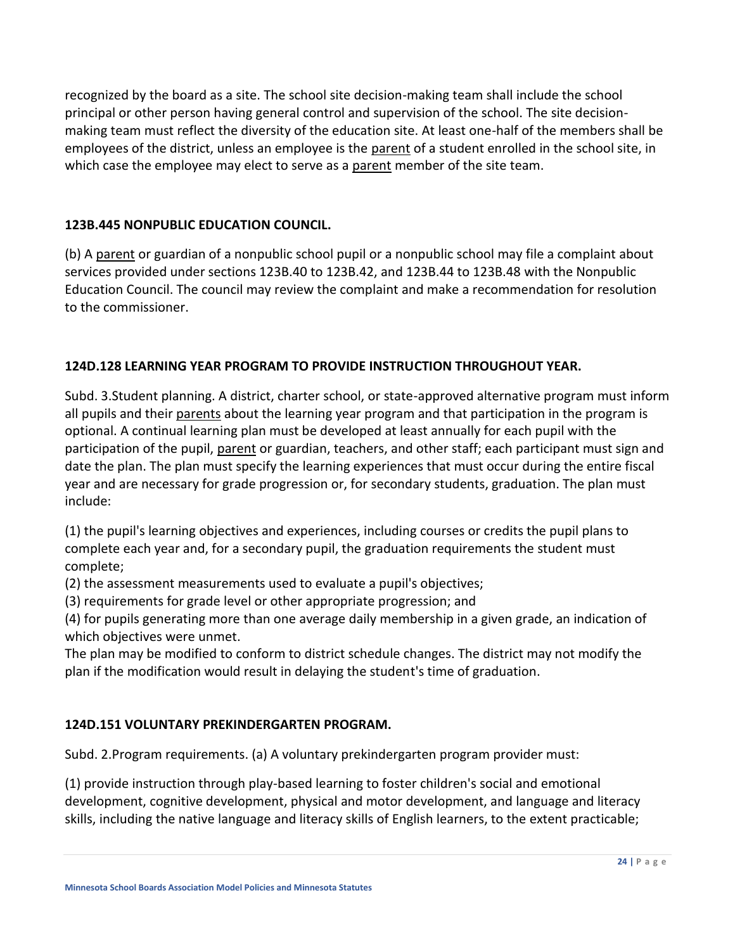recognized by the board as a site. The school site decision-making team shall include the school principal or other person having general control and supervision of the school. The site decisionmaking team must reflect the diversity of the education site. At least one-half of the members shall be employees of the district, unless an employee is the parent of a student enrolled in the school site, in which case the employee may elect to serve as a parent member of the site team.

### **123B.445 NONPUBLIC EDUCATION COUNCIL.**

(b) A parent or guardian of a nonpublic school pupil or a nonpublic school may file a complaint about services provided under sections 123B.40 to 123B.42, and 123B.44 to 123B.48 with the Nonpublic Education Council. The council may review the complaint and make a recommendation for resolution to the commissioner.

### **124D.128 LEARNING YEAR PROGRAM TO PROVIDE INSTRUCTION THROUGHOUT YEAR.**

Subd. 3.Student planning. A district, charter school, or state-approved alternative program must inform all pupils and their parents about the learning year program and that participation in the program is optional. A continual learning plan must be developed at least annually for each pupil with the participation of the pupil, parent or guardian, teachers, and other staff; each participant must sign and date the plan. The plan must specify the learning experiences that must occur during the entire fiscal year and are necessary for grade progression or, for secondary students, graduation. The plan must include:

(1) the pupil's learning objectives and experiences, including courses or credits the pupil plans to complete each year and, for a secondary pupil, the graduation requirements the student must complete;

(2) the assessment measurements used to evaluate a pupil's objectives;

(3) requirements for grade level or other appropriate progression; and

(4) for pupils generating more than one average daily membership in a given grade, an indication of which objectives were unmet.

The plan may be modified to conform to district schedule changes. The district may not modify the plan if the modification would result in delaying the student's time of graduation.

### **124D.151 VOLUNTARY PREKINDERGARTEN PROGRAM.**

Subd. 2.Program requirements. (a) A voluntary prekindergarten program provider must:

(1) provide instruction through play-based learning to foster children's social and emotional development, cognitive development, physical and motor development, and language and literacy skills, including the native language and literacy skills of English learners, to the extent practicable;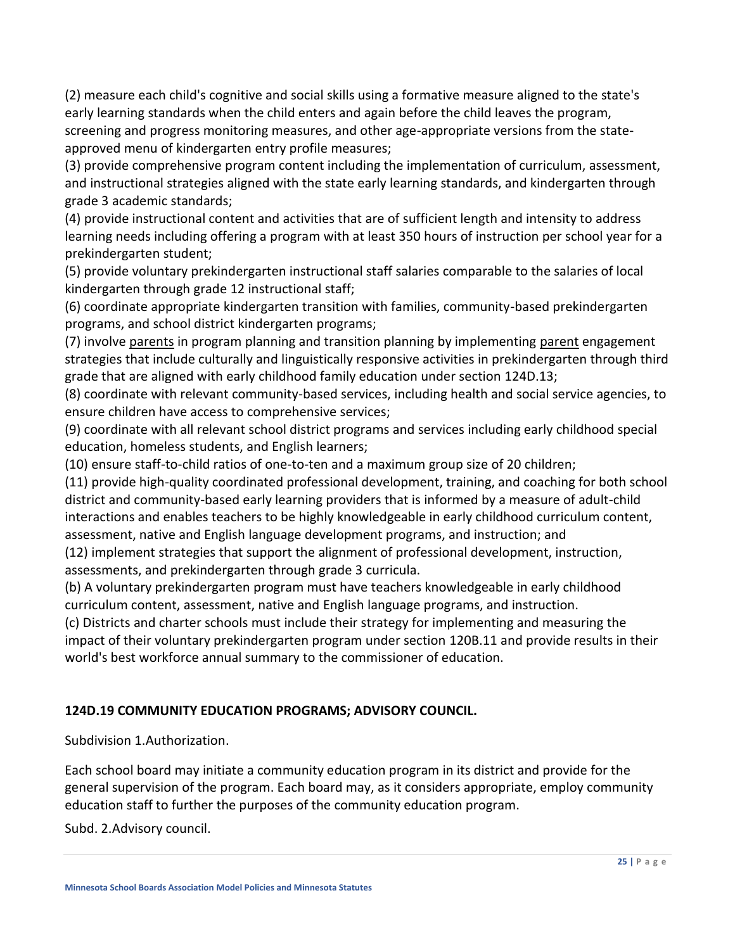(2) measure each child's cognitive and social skills using a formative measure aligned to the state's early learning standards when the child enters and again before the child leaves the program, screening and progress monitoring measures, and other age-appropriate versions from the stateapproved menu of kindergarten entry profile measures;

(3) provide comprehensive program content including the implementation of curriculum, assessment, and instructional strategies aligned with the state early learning standards, and kindergarten through grade 3 academic standards;

(4) provide instructional content and activities that are of sufficient length and intensity to address learning needs including offering a program with at least 350 hours of instruction per school year for a prekindergarten student;

(5) provide voluntary prekindergarten instructional staff salaries comparable to the salaries of local kindergarten through grade 12 instructional staff;

(6) coordinate appropriate kindergarten transition with families, community-based prekindergarten programs, and school district kindergarten programs;

(7) involve parents in program planning and transition planning by implementing parent engagement strategies that include culturally and linguistically responsive activities in prekindergarten through third grade that are aligned with early childhood family education under section [124D.13;](https://www.revisor.mn.gov/statutes/cite/124D.13)

(8) coordinate with relevant community-based services, including health and social service agencies, to ensure children have access to comprehensive services;

(9) coordinate with all relevant school district programs and services including early childhood special education, homeless students, and English learners;

(10) ensure staff-to-child ratios of one-to-ten and a maximum group size of 20 children;

(11) provide high-quality coordinated professional development, training, and coaching for both school district and community-based early learning providers that is informed by a measure of adult-child interactions and enables teachers to be highly knowledgeable in early childhood curriculum content, assessment, native and English language development programs, and instruction; and

(12) implement strategies that support the alignment of professional development, instruction, assessments, and prekindergarten through grade 3 curricula.

(b) A voluntary prekindergarten program must have teachers knowledgeable in early childhood curriculum content, assessment, native and English language programs, and instruction.

(c) Districts and charter schools must include their strategy for implementing and measuring the impact of their voluntary prekindergarten program under section [120B.11 a](https://www.revisor.mn.gov/statutes/cite/120B.11)nd provide results in their world's best workforce annual summary to the commissioner of education.

# **124D.19 COMMUNITY EDUCATION PROGRAMS; ADVISORY COUNCIL.**

Subdivision 1.Authorization.

Each school board may initiate a community education program in its district and provide for the general supervision of the program. Each board may, as it considers appropriate, employ community education staff to further the purposes of the community education program.

Subd. 2.Advisory council.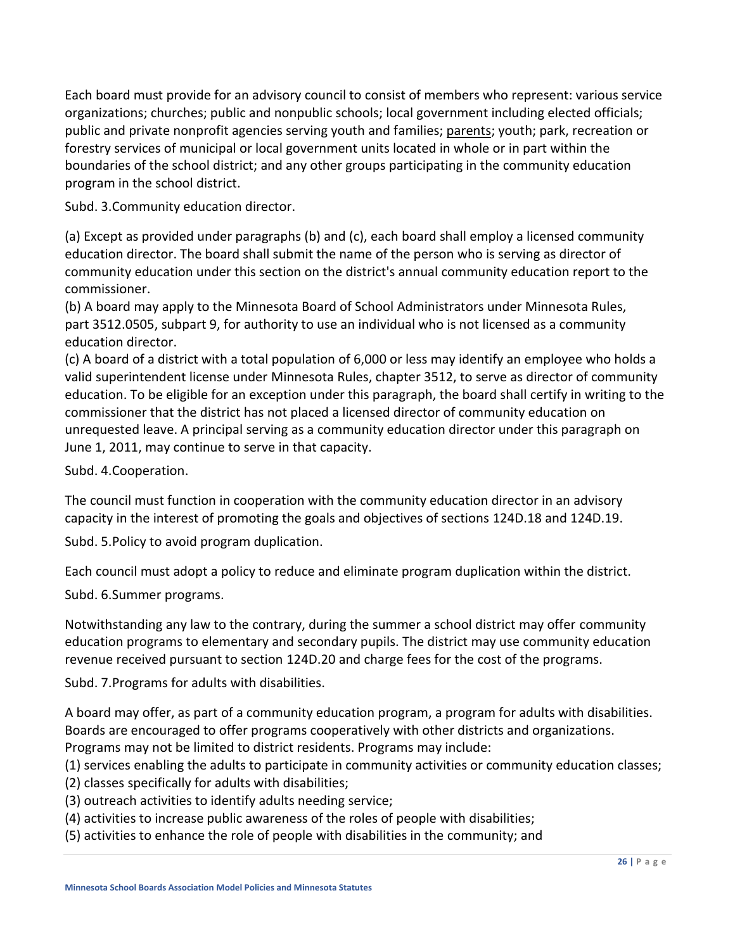Each board must provide for an advisory council to consist of members who represent: various service organizations; churches; public and nonpublic schools; local government including elected officials; public and private nonprofit agencies serving youth and families; parents; youth; park, recreation or forestry services of municipal or local government units located in whole or in part within the boundaries of the school district; and any other groups participating in the community education program in the school district.

Subd. 3.Community education director.

(a) Except as provided under paragraphs (b) and (c), each board shall employ a licensed community education director. The board shall submit the name of the person who is serving as director of community education under this section on the district's annual community education report to the commissioner.

(b) A board may apply to the Minnesota Board of School Administrators under Minnesota Rules, part [3512.0505,](https://www.revisor.mn.gov/rules/3512.0505) subpart 9, for authority to use an individual who is not licensed as a community education director.

(c) A board of a district with a total population of 6,000 or less may identify an employee who holds a valid superintendent license under Minnesota Rules, chapter 3512, to serve as director of community education. To be eligible for an exception under this paragraph, the board shall certify in writing to the commissioner that the district has not placed a licensed director of community education on unrequested leave. A principal serving as a community education director under this paragraph on June 1, 2011, may continue to serve in that capacity.

Subd. 4.Cooperation.

The council must function in cooperation with the community education director in an advisory capacity in the interest of promoting the goals and objectives of sections [124D.18](https://www.revisor.mn.gov/statutes/cite/124D.18) and [124D.19.](https://www.revisor.mn.gov/statutes/cite/124D.19)

Subd. 5.Policy to avoid program duplication.

Each council must adopt a policy to reduce and eliminate program duplication within the district.

Subd. 6.Summer programs.

Notwithstanding any law to the contrary, during the summer a school district may offer community education programs to elementary and secondary pupils. The district may use community education revenue received pursuant to section [124D.20](https://www.revisor.mn.gov/statutes/cite/124D.20) and charge fees for the cost of the programs.

Subd. 7.Programs for adults with disabilities.

A board may offer, as part of a community education program, a program for adults with disabilities. Boards are encouraged to offer programs cooperatively with other districts and organizations. Programs may not be limited to district residents. Programs may include:

- (1) services enabling the adults to participate in community activities or community education classes;
- (2) classes specifically for adults with disabilities;
- (3) outreach activities to identify adults needing service;
- (4) activities to increase public awareness of the roles of people with disabilities;
- (5) activities to enhance the role of people with disabilities in the community; and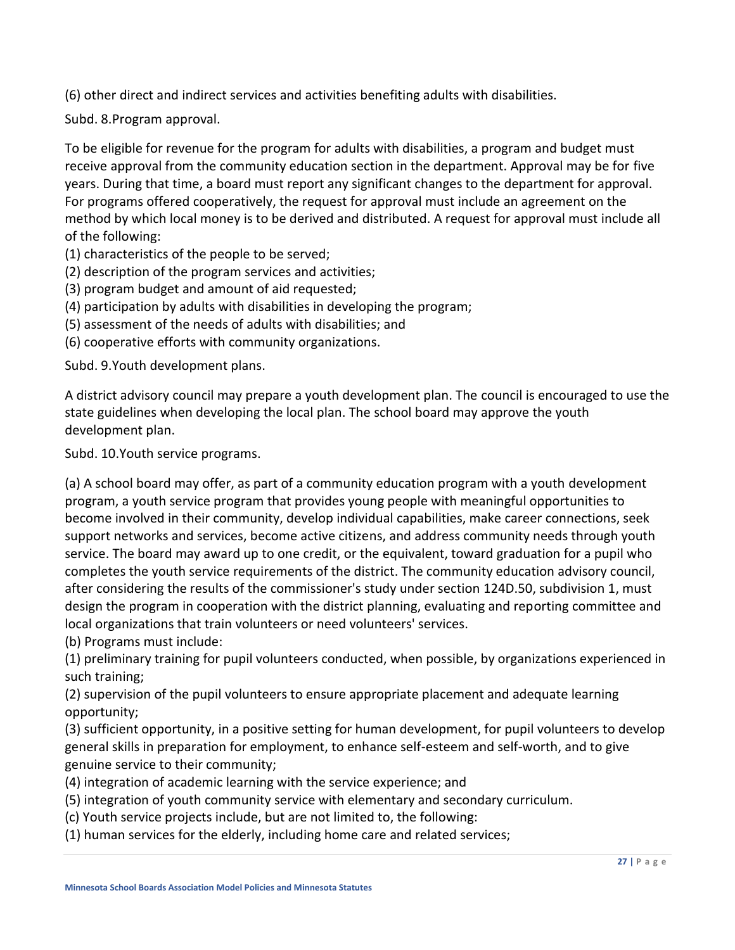(6) other direct and indirect services and activities benefiting adults with disabilities.

Subd. 8.Program approval.

To be eligible for revenue for the program for adults with disabilities, a program and budget must receive approval from the community education section in the department. Approval may be for five years. During that time, a board must report any significant changes to the department for approval. For programs offered cooperatively, the request for approval must include an agreement on the method by which local money is to be derived and distributed. A request for approval must include all of the following:

(1) characteristics of the people to be served;

- (2) description of the program services and activities;
- (3) program budget and amount of aid requested;
- (4) participation by adults with disabilities in developing the program;
- (5) assessment of the needs of adults with disabilities; and
- (6) cooperative efforts with community organizations.

Subd. 9.Youth development plans.

A district advisory council may prepare a youth development plan. The council is encouraged to use the state guidelines when developing the local plan. The school board may approve the youth development plan.

Subd. 10.Youth service programs.

(a) A school board may offer, as part of a community education program with a youth development program, a youth service program that provides young people with meaningful opportunities to become involved in their community, develop individual capabilities, make career connections, seek support networks and services, become active citizens, and address community needs through youth service. The board may award up to one credit, or the equivalent, toward graduation for a pupil who completes the youth service requirements of the district. The community education advisory council, after considering the results of the commissioner's study under section [124D.50, subdivision 1,](https://www.revisor.mn.gov/statutes/cite/124D.50#stat.124D.50.1) must design the program in cooperation with the district planning, evaluating and reporting committee and local organizations that train volunteers or need volunteers' services.

(b) Programs must include:

(1) preliminary training for pupil volunteers conducted, when possible, by organizations experienced in such training;

(2) supervision of the pupil volunteers to ensure appropriate placement and adequate learning opportunity;

(3) sufficient opportunity, in a positive setting for human development, for pupil volunteers to develop general skills in preparation for employment, to enhance self-esteem and self-worth, and to give genuine service to their community;

- (4) integration of academic learning with the service experience; and
- (5) integration of youth community service with elementary and secondary curriculum.
- (c) Youth service projects include, but are not limited to, the following:
- (1) human services for the elderly, including home care and related services;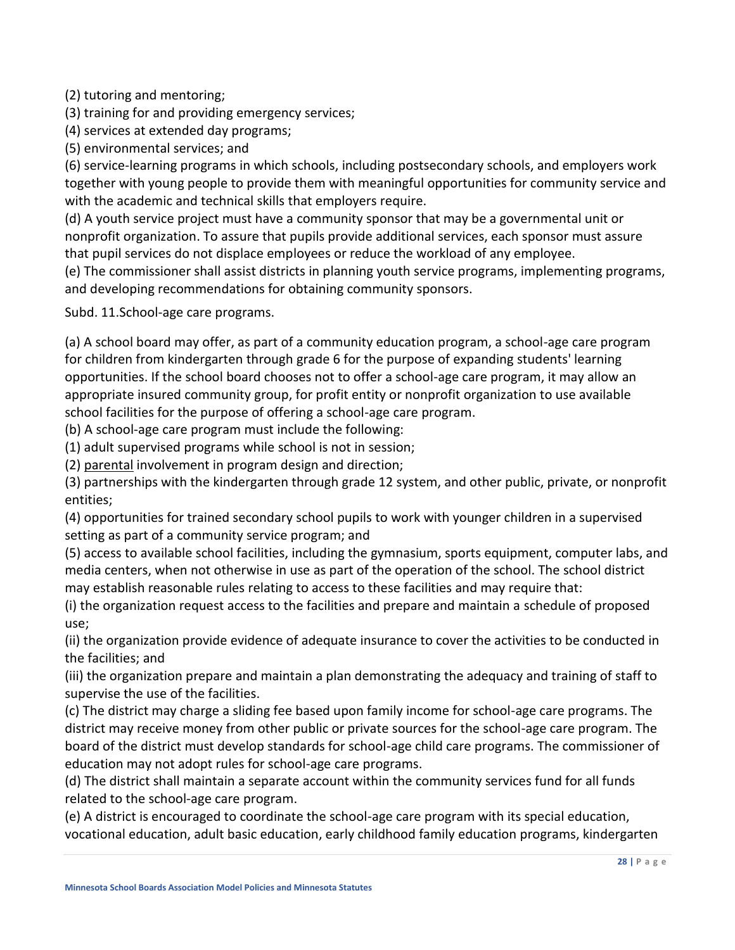(2) tutoring and mentoring;

(3) training for and providing emergency services;

(4) services at extended day programs;

(5) environmental services; and

(6) service-learning programs in which schools, including postsecondary schools, and employers work together with young people to provide them with meaningful opportunities for community service and with the academic and technical skills that employers require.

(d) A youth service project must have a community sponsor that may be a governmental unit or nonprofit organization. To assure that pupils provide additional services, each sponsor must assure that pupil services do not displace employees or reduce the workload of any employee.

(e) The commissioner shall assist districts in planning youth service programs, implementing programs, and developing recommendations for obtaining community sponsors.

Subd. 11.School-age care programs.

(a) A school board may offer, as part of a community education program, a school-age care program for children from kindergarten through grade 6 for the purpose of expanding students' learning opportunities. If the school board chooses not to offer a school-age care program, it may allow an appropriate insured community group, for profit entity or nonprofit organization to use available school facilities for the purpose of offering a school-age care program.

(b) A school-age care program must include the following:

(1) adult supervised programs while school is not in session;

(2) parental involvement in program design and direction;

(3) partnerships with the kindergarten through grade 12 system, and other public, private, or nonprofit entities;

(4) opportunities for trained secondary school pupils to work with younger children in a supervised setting as part of a community service program; and

(5) access to available school facilities, including the gymnasium, sports equipment, computer labs, and media centers, when not otherwise in use as part of the operation of the school. The school district may establish reasonable rules relating to access to these facilities and may require that:

(i) the organization request access to the facilities and prepare and maintain a schedule of proposed use;

(ii) the organization provide evidence of adequate insurance to cover the activities to be conducted in the facilities; and

(iii) the organization prepare and maintain a plan demonstrating the adequacy and training of staff to supervise the use of the facilities.

(c) The district may charge a sliding fee based upon family income for school-age care programs. The district may receive money from other public or private sources for the school-age care program. The board of the district must develop standards for school-age child care programs. The commissioner of education may not adopt rules for school-age care programs.

(d) The district shall maintain a separate account within the community services fund for all funds related to the school-age care program.

(e) A district is encouraged to coordinate the school-age care program with its special education, vocational education, adult basic education, early childhood family education programs, kindergarten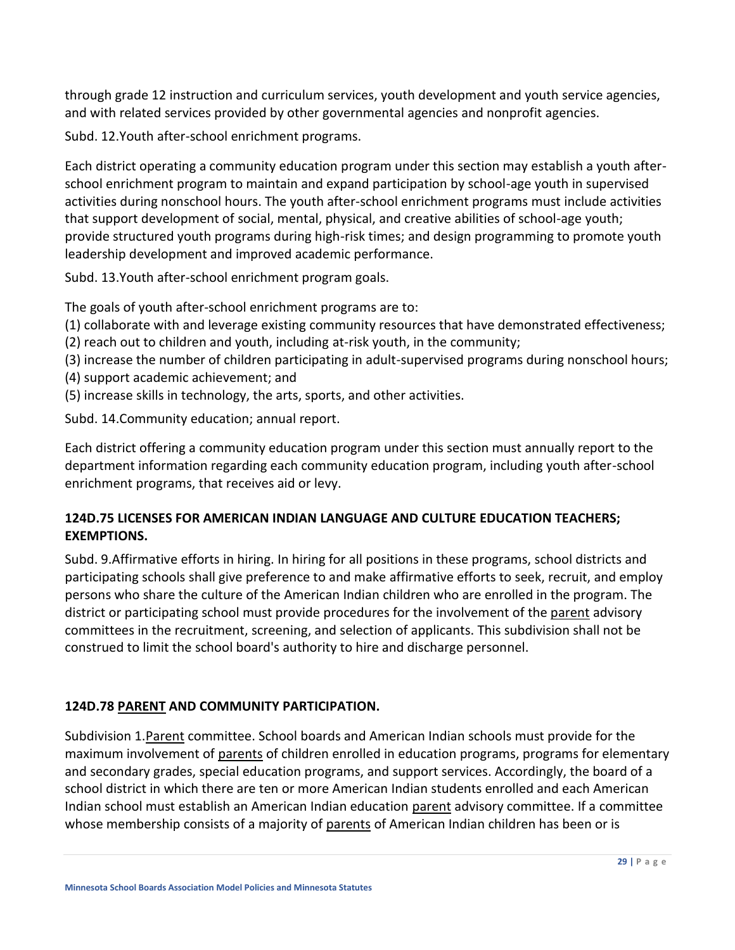through grade 12 instruction and curriculum services, youth development and youth service agencies, and with related services provided by other governmental agencies and nonprofit agencies.

Subd. 12.Youth after-school enrichment programs.

Each district operating a community education program under this section may establish a youth afterschool enrichment program to maintain and expand participation by school-age youth in supervised activities during nonschool hours. The youth after-school enrichment programs must include activities that support development of social, mental, physical, and creative abilities of school-age youth; provide structured youth programs during high-risk times; and design programming to promote youth leadership development and improved academic performance.

Subd. 13.Youth after-school enrichment program goals.

The goals of youth after-school enrichment programs are to:

- (1) collaborate with and leverage existing community resources that have demonstrated effectiveness;
- (2) reach out to children and youth, including at-risk youth, in the community;
- (3) increase the number of children participating in adult-supervised programs during nonschool hours;
- (4) support academic achievement; and
- (5) increase skills in technology, the arts, sports, and other activities.

Subd. 14.Community education; annual report.

Each district offering a community education program under this section must annually report to the department information regarding each community education program, including youth after-school enrichment programs, that receives aid or levy.

### **124D.75 LICENSES FOR AMERICAN INDIAN LANGUAGE AND CULTURE EDUCATION TEACHERS; EXEMPTIONS.**

Subd. 9.Affirmative efforts in hiring. In hiring for all positions in these programs, school districts and participating schools shall give preference to and make affirmative efforts to seek, recruit, and employ persons who share the culture of the American Indian children who are enrolled in the program. The district or participating school must provide procedures for the involvement of the parent advisory committees in the recruitment, screening, and selection of applicants. This subdivision shall not be construed to limit the school board's authority to hire and discharge personnel.

### **124D.78 PARENT AND COMMUNITY PARTICIPATION.**

Subdivision 1.Parent committee. School boards and American Indian schools must provide for the maximum involvement of parents of children enrolled in education programs, programs for elementary and secondary grades, special education programs, and support services. Accordingly, the board of a school district in which there are ten or more American Indian students enrolled and each American Indian school must establish an American Indian education parent advisory committee. If a committee whose membership consists of a majority of parents of American Indian children has been or is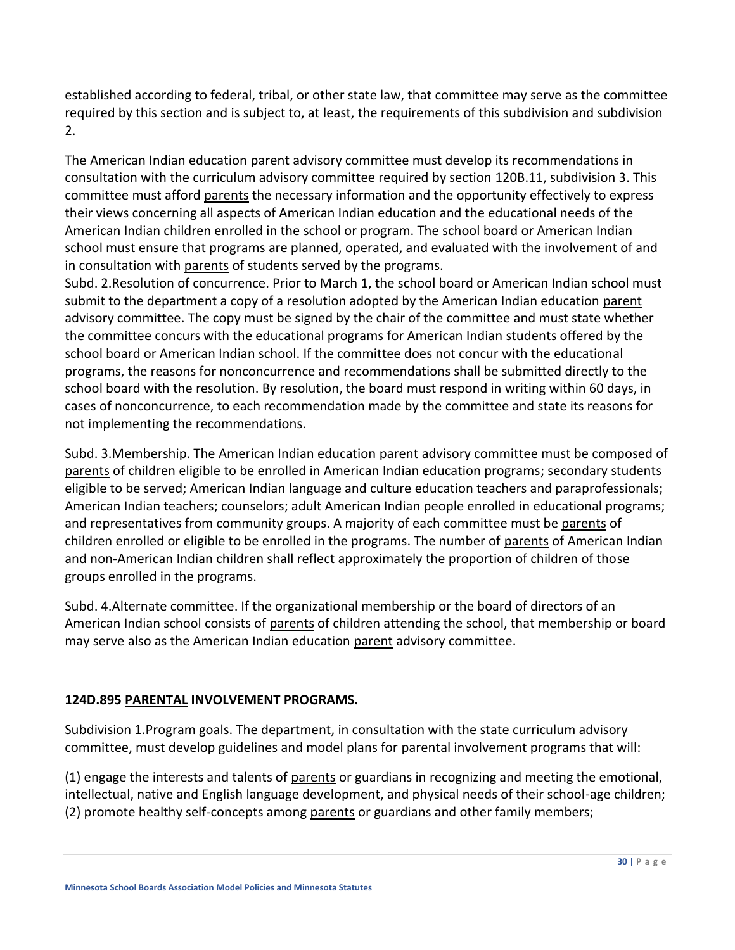established according to federal, tribal, or other state law, that committee may serve as the committee required by this section and is subject to, at least, the requirements of this subdivision and subdivision 2.

The American Indian education parent advisory committee must develop its recommendations in consultation with the curriculum advisory committee required by section [120B.11, subdivision 3.](https://www.revisor.mn.gov/statutes/cite/120B.11#stat.120B.11.3) This committee must afford parents the necessary information and the opportunity effectively to express their views concerning all aspects of American Indian education and the educational needs of the American Indian children enrolled in the school or program. The school board or American Indian school must ensure that programs are planned, operated, and evaluated with the involvement of and in consultation with parents of students served by the programs.

Subd. 2.Resolution of concurrence. Prior to March 1, the school board or American Indian school must submit to the department a copy of a resolution adopted by the American Indian education parent advisory committee. The copy must be signed by the chair of the committee and must state whether the committee concurs with the educational programs for American Indian students offered by the school board or American Indian school. If the committee does not concur with the educational programs, the reasons for nonconcurrence and recommendations shall be submitted directly to the school board with the resolution. By resolution, the board must respond in writing within 60 days, in cases of nonconcurrence, to each recommendation made by the committee and state its reasons for not implementing the recommendations.

Subd. 3. Membership. The American Indian education parent advisory committee must be composed of parents of children eligible to be enrolled in American Indian education programs; secondary students eligible to be served; American Indian language and culture education teachers and paraprofessionals; American Indian teachers; counselors; adult American Indian people enrolled in educational programs; and representatives from community groups. A majority of each committee must be parents of children enrolled or eligible to be enrolled in the programs. The number of parents of American Indian and non-American Indian children shall reflect approximately the proportion of children of those groups enrolled in the programs.

Subd. 4.Alternate committee. If the organizational membership or the board of directors of an American Indian school consists of parents of children attending the school, that membership or board may serve also as the American Indian education parent advisory committee.

### **124D.895 PARENTAL INVOLVEMENT PROGRAMS.**

Subdivision 1.Program goals. The department, in consultation with the state curriculum advisory committee, must develop guidelines and model plans for parental involvement programs that will:

(1) engage the interests and talents of parents or guardians in recognizing and meeting the emotional, intellectual, native and English language development, and physical needs of their school-age children; (2) promote healthy self-concepts among parents or guardians and other family members;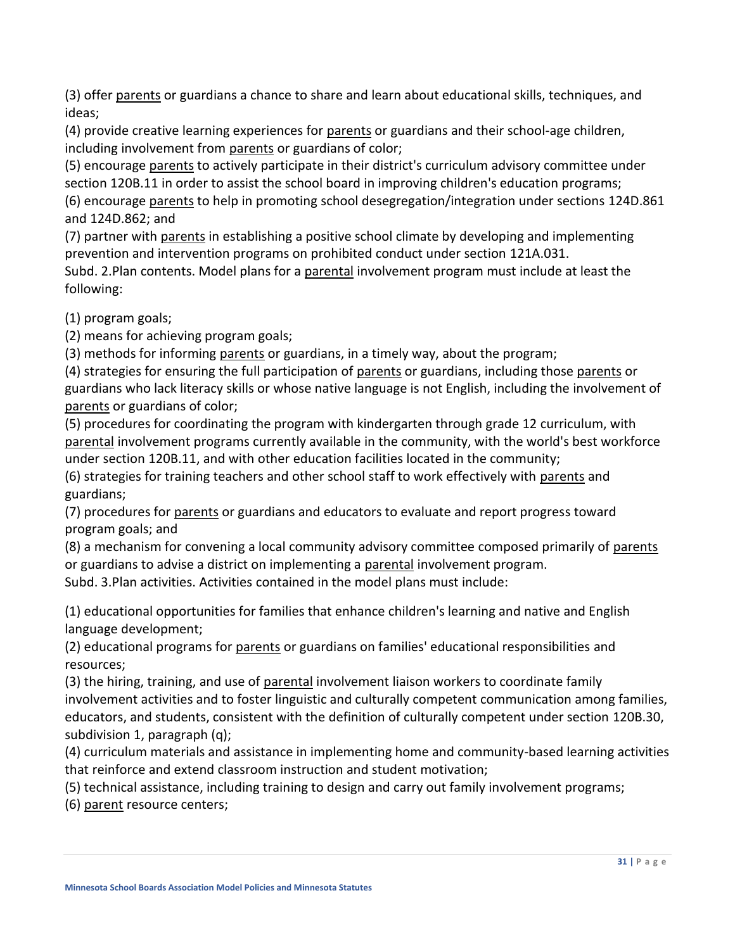(3) offer parents or guardians a chance to share and learn about educational skills, techniques, and ideas;

(4) provide creative learning experiences for parents or guardians and their school-age children, including involvement from parents or guardians of color;

(5) encourage parents to actively participate in their district's curriculum advisory committee under section [120B.11](https://www.revisor.mn.gov/statutes/cite/120B.11) in order to assist the school board in improving children's education programs; (6) encourage parents to help in promoting school desegregation/integration under sections [124D.861](https://www.revisor.mn.gov/statutes/cite/124D.861) and [124D.862;](https://www.revisor.mn.gov/statutes/cite/124D.862) and

(7) partner with parents in establishing a positive school climate by developing and implementing prevention and intervention programs on prohibited conduct under section [121A.031.](https://www.revisor.mn.gov/statutes/cite/121A.031)

Subd. 2.Plan contents. Model plans for a parental involvement program must include at least the following:

(1) program goals;

(2) means for achieving program goals;

(3) methods for informing parents or guardians, in a timely way, about the program;

(4) strategies for ensuring the full participation of parents or guardians, including those parents or guardians who lack literacy skills or whose native language is not English, including the involvement of parents or guardians of color;

(5) procedures for coordinating the program with kindergarten through grade 12 curriculum, with parental involvement programs currently available in the community, with the world's best workforce under section [120B.11,](https://www.revisor.mn.gov/statutes/cite/120B.11) and with other education facilities located in the community;

(6) strategies for training teachers and other school staff to work effectively with parents and guardians;

(7) procedures for <u>parents</u> or guardians and educators to evaluate and report progress toward program goals; and

(8) a mechanism for convening a local community advisory committee composed primarily of parents or guardians to advise a district on implementing a parental involvement program.

Subd. 3.Plan activities. Activities contained in the model plans must include:

(1) educational opportunities for families that enhance children's learning and native and English language development;

(2) educational programs for parents or guardians on families' educational responsibilities and resources;

(3) the hiring, training, and use of parental involvement liaison workers to coordinate family involvement activities and to foster linguistic and culturally competent communication among families, educators, and students, consistent with the definition of culturally competent under section [120B.30,](https://www.revisor.mn.gov/statutes/cite/120B.30#stat.120B.30.1)  [subdivision 1,](https://www.revisor.mn.gov/statutes/cite/120B.30#stat.120B.30.1) paragraph (q);

(4) curriculum materials and assistance in implementing home and community-based learning activities that reinforce and extend classroom instruction and student motivation;

(5) technical assistance, including training to design and carry out family involvement programs;

(6) parent resource centers;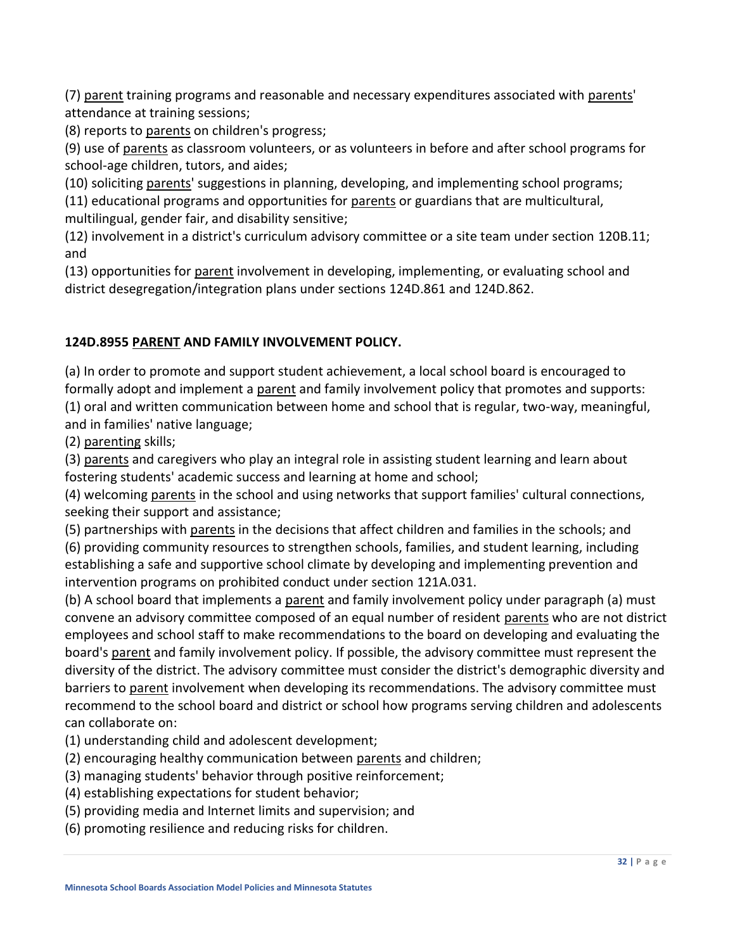(7) parent training programs and reasonable and necessary expenditures associated with parents' attendance at training sessions;

(8) reports to parents on children's progress;

(9) use of parents as classroom volunteers, or as volunteers in before and after school programs for school-age children, tutors, and aides;

(10) soliciting parents' suggestions in planning, developing, and implementing school programs;

(11) educational programs and opportunities for parents or guardians that are multicultural, multilingual, gender fair, and disability sensitive;

(12) involvement in a district's curriculum advisory committee or a site team under section [120B.11;](https://www.revisor.mn.gov/statutes/cite/120B.11) and

(13) opportunities for parent involvement in developing, implementing, or evaluating school and district desegregation/integration plans under sections [124D.861](https://www.revisor.mn.gov/statutes/cite/124D.861) and [124D.862.](https://www.revisor.mn.gov/statutes/cite/124D.862)

### **124D.8955 PARENT AND FAMILY INVOLVEMENT POLICY.**

(a) In order to promote and support student achievement, a local school board is encouraged to formally adopt and implement a parent and family involvement policy that promotes and supports: (1) oral and written communication between home and school that is regular, two-way, meaningful, and in families' native language;

(2) parenting skills;

(3) parents and caregivers who play an integral role in assisting student learning and learn about fostering students' academic success and learning at home and school;

(4) welcoming parents in the school and using networks that support families' cultural connections, seeking their support and assistance;

(5) partnerships with parents in the decisions that affect children and families in the schools; and

(6) providing community resources to strengthen schools, families, and student learning, including establishing a safe and supportive school climate by developing and implementing prevention and intervention programs on prohibited conduct under section [121A.031.](https://www.revisor.mn.gov/statutes/cite/121A.031)

(b) A school board that implements a parent and family involvement policy under paragraph (a) must convene an advisory committee composed of an equal number of resident parents who are not district employees and school staff to make recommendations to the board on developing and evaluating the board's parent and family involvement policy. If possible, the advisory committee must represent the diversity of the district. The advisory committee must consider the district's demographic diversity and barriers to parent involvement when developing its recommendations. The advisory committee must recommend to the school board and district or school how programs serving children and adolescents can collaborate on:

- (1) understanding child and adolescent development;
- (2) encouraging healthy communication between parents and children;
- (3) managing students' behavior through positive reinforcement;
- (4) establishing expectations for student behavior;
- (5) providing media and Internet limits and supervision; and
- (6) promoting resilience and reducing risks for children.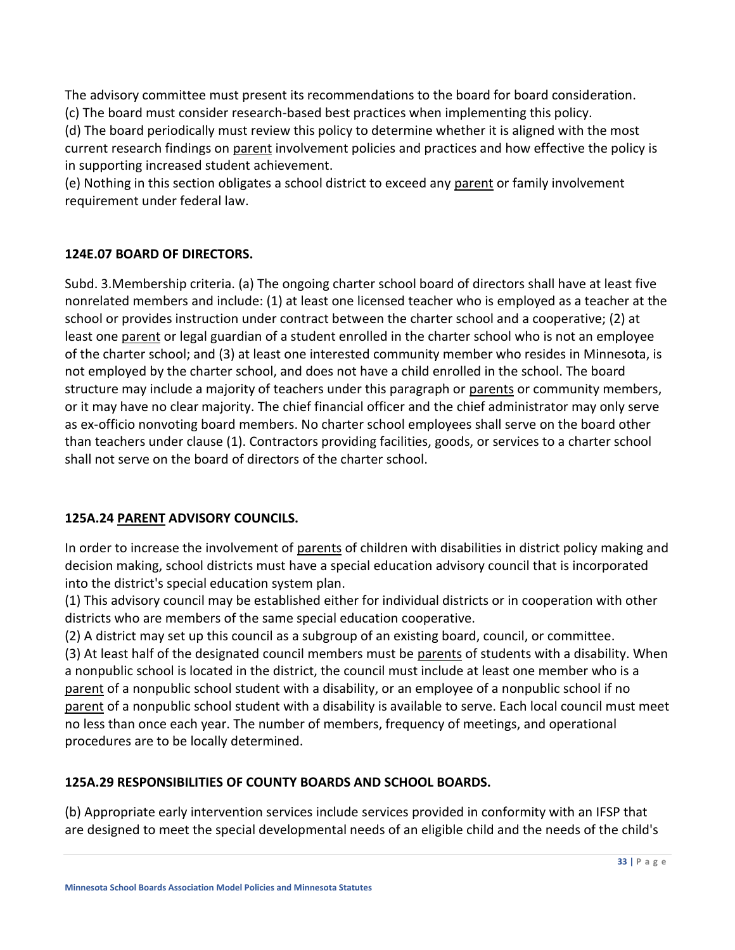The advisory committee must present its recommendations to the board for board consideration. (c) The board must consider research-based best practices when implementing this policy.

(d) The board periodically must review this policy to determine whether it is aligned with the most current research findings on parent involvement policies and practices and how effective the policy is in supporting increased student achievement.

(e) Nothing in this section obligates a school district to exceed any parent or family involvement requirement under federal law.

### **124E.07 BOARD OF DIRECTORS.**

Subd. 3.Membership criteria. (a) The ongoing charter school board of directors shall have at least five nonrelated members and include: (1) at least one licensed teacher who is employed as a teacher at the school or provides instruction under contract between the charter school and a cooperative; (2) at least one parent or legal guardian of a student enrolled in the charter school who is not an employee of the charter school; and (3) at least one interested community member who resides in Minnesota, is not employed by the charter school, and does not have a child enrolled in the school. The board structure may include a majority of teachers under this paragraph or parents or community members, or it may have no clear majority. The chief financial officer and the chief administrator may only serve as ex-officio nonvoting board members. No charter school employees shall serve on the board other than teachers under clause (1). Contractors providing facilities, goods, or services to a charter school shall not serve on the board of directors of the charter school.

### **125A.24 PARENT ADVISORY COUNCILS.**

In order to increase the involvement of parents of children with disabilities in district policy making and decision making, school districts must have a special education advisory council that is incorporated into the district's special education system plan.

(1) This advisory council may be established either for individual districts or in cooperation with other districts who are members of the same special education cooperative.

(2) A district may set up this council as a subgroup of an existing board, council, or committee. (3) At least half of the designated council members must be parents of students with a disability. When a nonpublic school is located in the district, the council must include at least one member who is a parent of a nonpublic school student with a disability, or an employee of a nonpublic school if no parent of a nonpublic school student with a disability is available to serve. Each local council must meet no less than once each year. The number of members, frequency of meetings, and operational procedures are to be locally determined.

# **125A.29 RESPONSIBILITIES OF COUNTY BOARDS AND SCHOOL BOARDS.**

(b) Appropriate early intervention services include services provided in conformity with an IFSP that are designed to meet the special developmental needs of an eligible child and the needs of the child's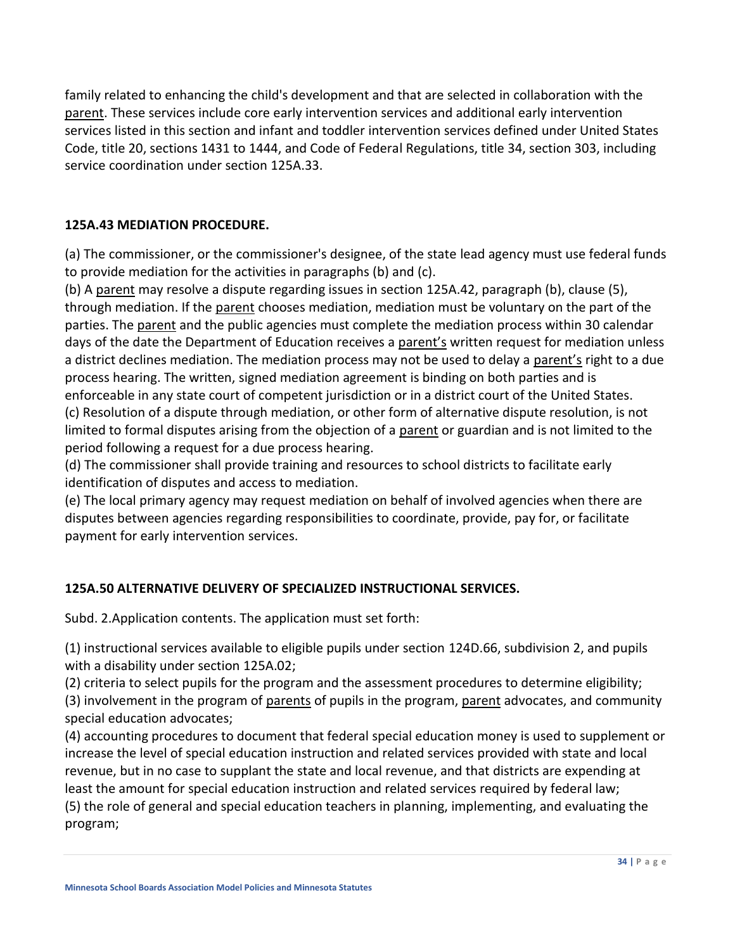family related to enhancing the child's development and that are selected in collaboration with the parent. These services include core early intervention services and additional early intervention services listed in this section and infant and toddler intervention services defined under United States Code, title 20, sections 1431 to 1444, and Code of Federal Regulations, title 34, section 303, including service coordination under section [125A.33.](https://www.revisor.mn.gov/statutes/cite/125A.33)

### **125A.43 MEDIATION PROCEDURE.**

(a) The commissioner, or the commissioner's designee, of the state lead agency must use federal funds to provide mediation for the activities in paragraphs (b) and (c).

(b) A parent may resolve a dispute regarding issues in section [125A.42, paragraph \(b\),](https://www.revisor.mn.gov/statutes/cite/125A.42) clause (5), through mediation. If the parent chooses mediation, mediation must be voluntary on the part of the parties. The parent and the public agencies must complete the mediation process within 30 calendar days of the date the Department of Education receives a parent's written request for mediation unless a district declines mediation. The mediation process may not be used to delay a parent's right to a due process hearing. The written, signed mediation agreement is binding on both parties and is enforceable in any state court of competent jurisdiction or in a district court of the United States. (c) Resolution of a dispute through mediation, or other form of alternative dispute resolution, is not limited to formal disputes arising from the objection of a parent or guardian and is not limited to the period following a request for a due process hearing.

(d) The commissioner shall provide training and resources to school districts to facilitate early identification of disputes and access to mediation.

(e) The local primary agency may request mediation on behalf of involved agencies when there are disputes between agencies regarding responsibilities to coordinate, provide, pay for, or facilitate payment for early intervention services.

### **125A.50 ALTERNATIVE DELIVERY OF SPECIALIZED INSTRUCTIONAL SERVICES.**

Subd. 2.Application contents. The application must set forth:

(1) instructional services available to eligible pupils under section [124D.66, subdivision 2,](https://www.revisor.mn.gov/statutes/cite/124D.66#stat.124D.66.2) and pupils with a disability under section [125A.02;](https://www.revisor.mn.gov/statutes/cite/125A.02)

(2) criteria to select pupils for the program and the assessment procedures to determine eligibility;

(3) involvement in the program of parents of pupils in the program, parent advocates, and community special education advocates;

(4) accounting procedures to document that federal special education money is used to supplement or increase the level of special education instruction and related services provided with state and local revenue, but in no case to supplant the state and local revenue, and that districts are expending at least the amount for special education instruction and related services required by federal law; (5) the role of general and special education teachers in planning, implementing, and evaluating the program;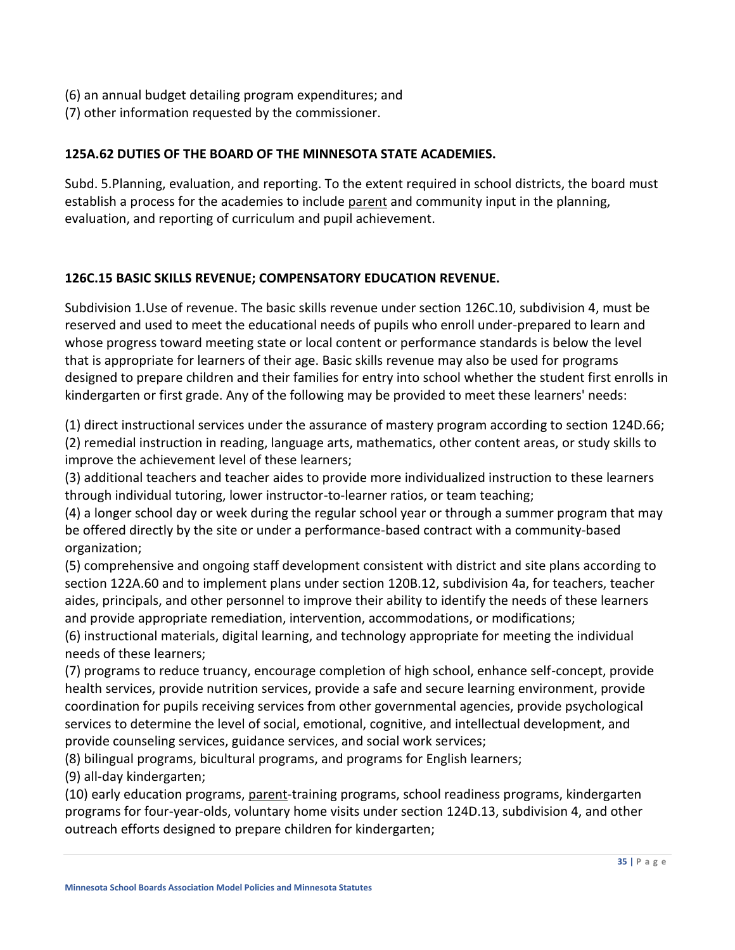- (6) an annual budget detailing program expenditures; and
- (7) other information requested by the commissioner.

#### **125A.62 DUTIES OF THE BOARD OF THE MINNESOTA STATE ACADEMIES.**

Subd. 5.Planning, evaluation, and reporting. To the extent required in school districts, the board must establish a process for the academies to include parent and community input in the planning, evaluation, and reporting of curriculum and pupil achievement.

#### **126C.15 BASIC SKILLS REVENUE; COMPENSATORY EDUCATION REVENUE.**

Subdivision 1.Use of revenue. The basic skills revenue under section [126C.10, subdivision 4,](https://www.revisor.mn.gov/statutes/cite/126C.10#stat.126C.10.4) must be reserved and used to meet the educational needs of pupils who enroll under-prepared to learn and whose progress toward meeting state or local content or performance standards is below the level that is appropriate for learners of their age. Basic skills revenue may also be used for programs designed to prepare children and their families for entry into school whether the student first enrolls in kindergarten or first grade. Any of the following may be provided to meet these learners' needs:

(1) direct instructional services under the assurance of mastery program according to section [124D.66;](https://www.revisor.mn.gov/statutes/cite/124D.66) (2) remedial instruction in reading, language arts, mathematics, other content areas, or study skills to improve the achievement level of these learners;

(3) additional teachers and teacher aides to provide more individualized instruction to these learners through individual tutoring, lower instructor-to-learner ratios, or team teaching;

(4) a longer school day or week during the regular school year or through a summer program that may be offered directly by the site or under a performance-based contract with a community-based organization;

(5) comprehensive and ongoing staff development consistent with district and site plans according to section [122A.60](https://www.revisor.mn.gov/statutes/cite/122A.60) and to implement plans under section [120B.12,](https://www.revisor.mn.gov/statutes/cite/120B.12) subdivision 4a, for teachers, teacher aides, principals, and other personnel to improve their ability to identify the needs of these learners and provide appropriate remediation, intervention, accommodations, or modifications;

(6) instructional materials, digital learning, and technology appropriate for meeting the individual needs of these learners;

(7) programs to reduce truancy, encourage completion of high school, enhance self-concept, provide health services, provide nutrition services, provide a safe and secure learning environment, provide coordination for pupils receiving services from other governmental agencies, provide psychological services to determine the level of social, emotional, cognitive, and intellectual development, and provide counseling services, guidance services, and social work services;

(8) bilingual programs, bicultural programs, and programs for English learners;

(9) all-day kindergarten;

(10) early education programs, parent-training programs, school readiness programs, kindergarten programs for four-year-olds, voluntary home visits under section [124D.13,](https://www.revisor.mn.gov/statutes/cite/124D.13) subdivision 4, and other outreach efforts designed to prepare children for kindergarten;